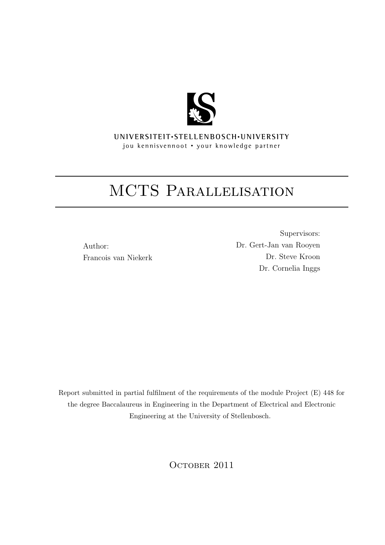

**UNI V E R SI T EI T**• **S T E L L EN BO S CH**•**UNI V E R SI T Y** jou kennisvennoot • your knowledge partner

## MCTS PARALLELISATION

Author: Francois van Niekerk

Supervisors: Dr. Gert-Jan van Rooyen Dr. Steve Kroon Dr. Cornelia Inggs

Report submitted in partial fulfilment of the requirements of the module Project (E) 448 for the degree Baccalaureus in Engineering in the Department of Electrical and Electronic Engineering at the University of Stellenbosch.

OCTOBER 2011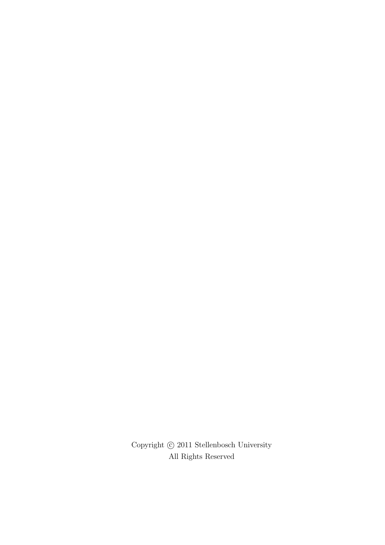Copyright  $\copyright$  2011 Stellenbosch University All Rights Reserved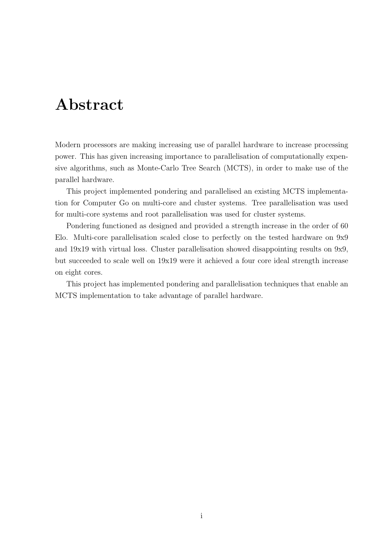## Abstract

<span id="page-2-0"></span>Modern processors are making increasing use of parallel hardware to increase processing power. This has given increasing importance to parallelisation of computationally expensive algorithms, such as Monte-Carlo Tree Search (MCTS), in order to make use of the parallel hardware.

This project implemented pondering and parallelised an existing MCTS implementation for Computer Go on multi-core and cluster systems. Tree parallelisation was used for multi-core systems and root parallelisation was used for cluster systems.

Pondering functioned as designed and provided a strength increase in the order of 60 Elo. Multi-core parallelisation scaled close to perfectly on the tested hardware on 9x9 and 19x19 with virtual loss. Cluster parallelisation showed disappointing results on 9x9, but succeeded to scale well on 19x19 were it achieved a four core ideal strength increase on eight cores.

This project has implemented pondering and parallelisation techniques that enable an MCTS implementation to take advantage of parallel hardware.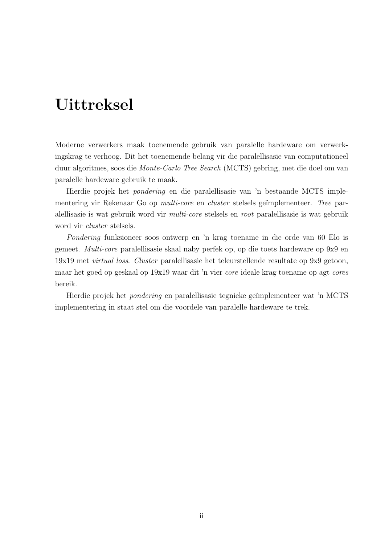## Uittreksel

<span id="page-3-0"></span>Moderne verwerkers maak toenemende gebruik van paralelle hardeware om verwerkingskrag te verhoog. Dit het toenemende belang vir die paralellisasie van computationeel duur algoritmes, soos die Monte-Carlo Tree Search (MCTS) gebring, met die doel om van paralelle hardeware gebruik te maak.

Hierdie projek het pondering en die paralellisasie van 'n bestaande MCTS implementering vir Rekenaar Go op *multi-core* en *cluster* stelsels geïmplementeer. Tree paralellisasie is wat gebruik word vir multi-core stelsels en root paralellisasie is wat gebruik word vir cluster stelsels.

Pondering funksioneer soos ontwerp en 'n krag toename in die orde van 60 Elo is gemeet. Multi-core paralellisasie skaal naby perfek op, op die toets hardeware op 9x9 en 19x19 met virtual loss. Cluster paralellisasie het teleurstellende resultate op 9x9 getoon, maar het goed op geskaal op 19x19 waar dit 'n vier core ideale krag toename op agt cores bereik.

Hierdie projek het *pondering* en paralellisasie tegnieke geïmplementeer wat 'n MCTS implementering in staat stel om die voordele van paralelle hardeware te trek.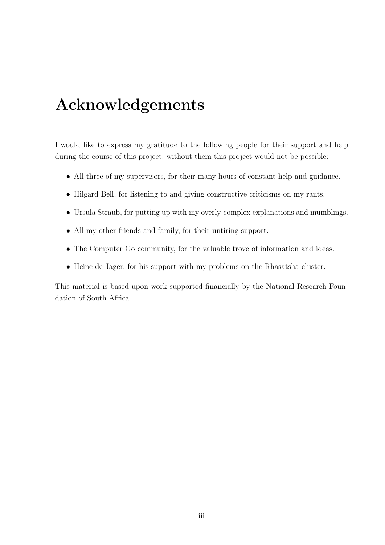## Acknowledgements

<span id="page-4-0"></span>I would like to express my gratitude to the following people for their support and help during the course of this project; without them this project would not be possible:

- All three of my supervisors, for their many hours of constant help and guidance.
- Hilgard Bell, for listening to and giving constructive criticisms on my rants.
- Ursula Straub, for putting up with my overly-complex explanations and mumblings.
- All my other friends and family, for their untiring support.
- The Computer Go community, for the valuable trove of information and ideas.
- Heine de Jager, for his support with my problems on the Rhasatsha cluster.

This material is based upon work supported financially by the National Research Foundation of South Africa.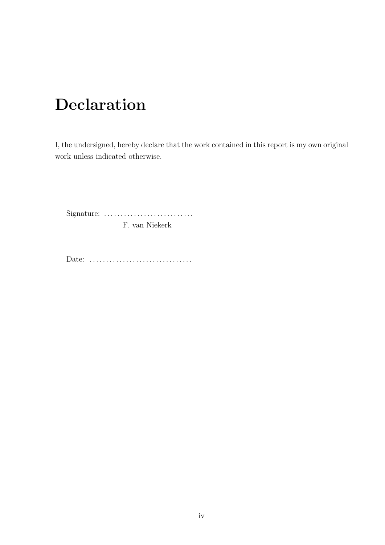## Declaration

<span id="page-5-0"></span>I, the undersigned, hereby declare that the work contained in this report is my own original work unless indicated otherwise.

Signature: . . . . . . . . . . . . . . . . . . . . . . . . . . . F. van Niekerk

Date: ...................................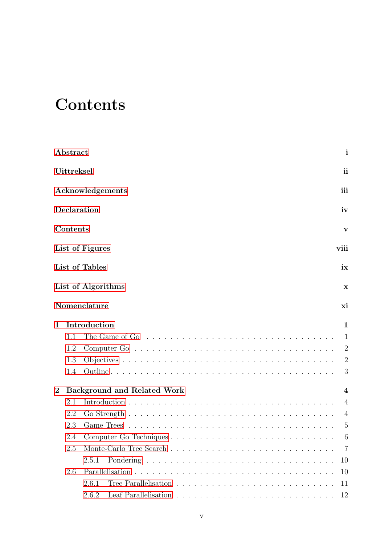## <span id="page-6-0"></span>**Contents**

|                | Abstract          | i                                                                                                  |
|----------------|-------------------|----------------------------------------------------------------------------------------------------|
|                | <b>Uittreksel</b> | ii                                                                                                 |
|                |                   | iii<br>Acknowledgements                                                                            |
|                | Declaration       | iv                                                                                                 |
|                | Contents          | V                                                                                                  |
|                |                   | List of Figures<br>viii                                                                            |
|                |                   | List of Tables<br>ix                                                                               |
|                |                   | List of Algorithms<br>$\mathbf x$                                                                  |
|                |                   | Nomenclature<br>xi                                                                                 |
| $\mathbf{1}$   |                   | Introduction<br>1                                                                                  |
|                | 1.1               | The Game of Go $\ldots \ldots \ldots \ldots \ldots \ldots \ldots \ldots \ldots \ldots \ldots$<br>1 |
|                | 1.2               | $\overline{2}$                                                                                     |
|                | 1.3               | $\overline{2}$                                                                                     |
|                | 1.4               | 3                                                                                                  |
| $\overline{2}$ |                   | <b>Background and Related Work</b><br>4                                                            |
|                | 2.1               | $\overline{4}$                                                                                     |
|                | 2.2               | $\overline{4}$                                                                                     |
|                | 2.3               | $\overline{5}$                                                                                     |
|                | 2.4               | Computer Go Techniques<br>6<br>a característica de la característica de la característica          |
|                | 2.5               | - 7                                                                                                |
|                |                   | 2.5.1<br>10                                                                                        |
|                | 2.6               | 10                                                                                                 |
|                |                   | Tree Parallelisation $\ldots \ldots \ldots \ldots \ldots \ldots \ldots \ldots$<br>2.6.1<br>11      |
|                |                   | 2.6.2<br>12                                                                                        |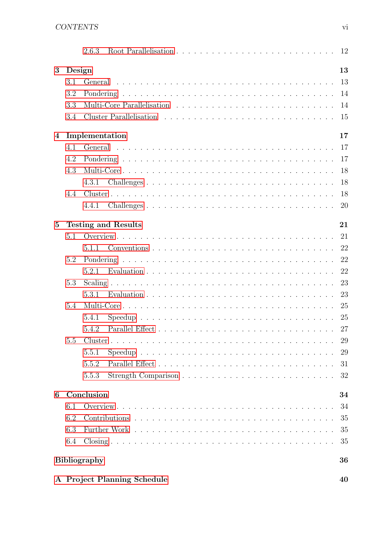|                 |        | 2.6.3                       | 12 |
|-----------------|--------|-----------------------------|----|
| 3               | Design |                             | 13 |
|                 | 3.1    |                             | 13 |
|                 | 3.2    |                             | 14 |
|                 | 3.3    |                             | 14 |
|                 | 3.4    |                             | 15 |
| 4               |        | Implementation              | 17 |
|                 | 4.1    |                             | 17 |
|                 | 4.2    |                             | 17 |
|                 | 4.3    |                             | 18 |
|                 |        | 4.3.1                       | 18 |
|                 | 4.4    |                             | 18 |
|                 |        | 4.4.1                       | 20 |
| $5\phantom{.0}$ |        | <b>Testing and Results</b>  | 21 |
|                 | 5.1    |                             | 21 |
|                 |        | 5.1.1                       | 22 |
|                 | 5.2    |                             | 22 |
|                 |        | 5.2.1                       | 22 |
|                 | 5.3    |                             | 23 |
|                 |        | 5.3.1                       | 23 |
|                 | 5.4    |                             | 25 |
|                 |        | 5.4.1                       |    |
|                 |        | 5.4.2                       |    |
|                 | 5.5    |                             | 29 |
|                 |        | 5.5.1                       | 29 |
|                 |        | 5.5.2                       | 31 |
|                 |        | 5.5.3                       | 32 |
| 6               |        | Conclusion                  | 34 |
|                 | 6.1    |                             | 34 |
|                 | 6.2    |                             | 35 |
|                 | 6.3    |                             | 35 |
|                 | 6.4    |                             | 35 |
|                 |        |                             |    |
|                 |        | <b>Bibliography</b>         | 36 |
|                 |        | A Project Planning Schedule | 40 |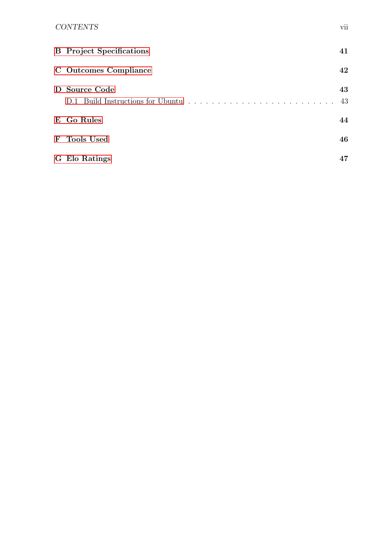### CONTENTS vii

| <b>B</b> Project Specifications                    | 41       |
|----------------------------------------------------|----------|
| C Outcomes Compliance                              | 42       |
| D Source Code<br>D.1 Build Instructions for Ubuntu | 43<br>43 |
| E Go Rules                                         | 44       |
| F Tools Used                                       | 46       |
| G Elo Ratings                                      | 47       |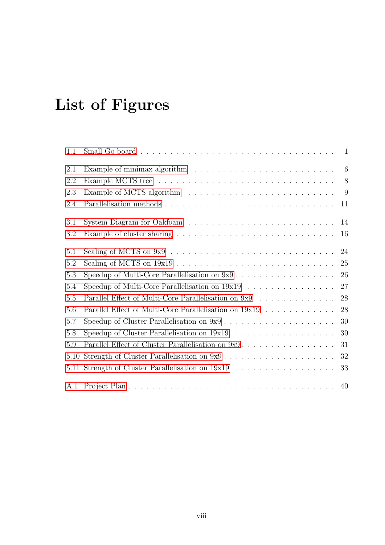## <span id="page-9-0"></span>List of Figures

| 1.1     |                                                                                               |    |
|---------|-----------------------------------------------------------------------------------------------|----|
| 2.1     | Example of minimax algorithm $\ldots \ldots \ldots \ldots \ldots \ldots \ldots \ldots \ldots$ |    |
| 2.2     |                                                                                               |    |
| 2.3     |                                                                                               | -9 |
| 2.4     |                                                                                               | 11 |
| 3.1     |                                                                                               | 14 |
| 3.2     |                                                                                               | 16 |
| 5.1     |                                                                                               | 24 |
| 5.2     |                                                                                               | 25 |
| 5.3     |                                                                                               | 26 |
| 5.4     |                                                                                               | 27 |
| $5.5\,$ | Parallel Effect of Multi-Core Parallelisation on 9x9                                          | 28 |
| 5.6     | Parallel Effect of Multi-Core Parallelisation on 19x19                                        | 28 |
| 5.7     |                                                                                               | 30 |
| 5.8     |                                                                                               | 30 |
| 5.9     |                                                                                               | 31 |
| 5.10    | Strength of Cluster Parallelisation on 9x9                                                    | 32 |
| 5.11    |                                                                                               | 33 |
|         |                                                                                               | 40 |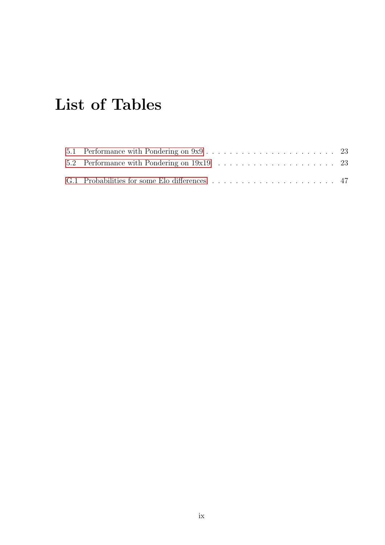## <span id="page-10-0"></span>List of Tables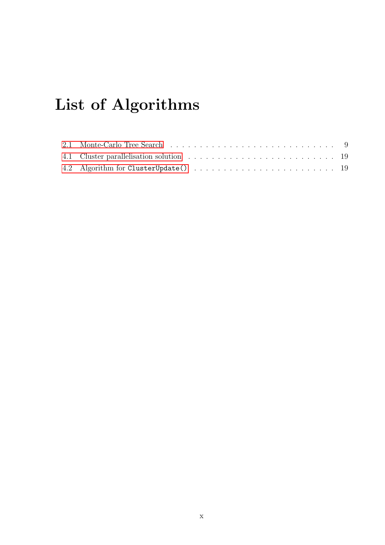## <span id="page-11-0"></span>List of Algorithms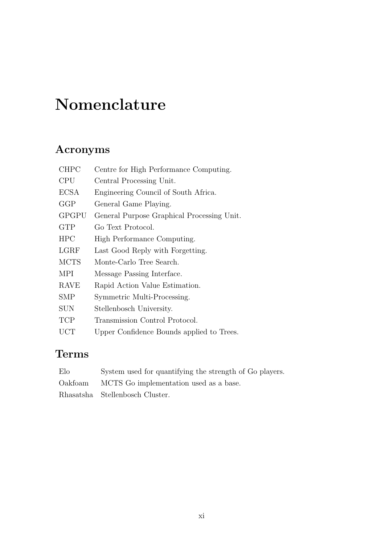## Nomenclature

### <span id="page-12-0"></span>Acronyms

| <b>CHPC</b> | Centre for High Performance Computing.     |
|-------------|--------------------------------------------|
| <b>CPU</b>  | Central Processing Unit.                   |
| <b>ECSA</b> | Engineering Council of South Africa.       |
| GGP         | General Game Playing.                      |
| GPGPU       | General Purpose Graphical Processing Unit. |
| <b>GTP</b>  | Go Text Protocol.                          |
| <b>HPC</b>  | High Performance Computing.                |
| LGRF        | Last Good Reply with Forgetting.           |
| <b>MCTS</b> | Monte-Carlo Tree Search.                   |
| <b>MPI</b>  | Message Passing Interface.                 |
| <b>RAVE</b> | Rapid Action Value Estimation.             |
| SMP         | Symmetric Multi-Processing.                |
| SUN         | Stellenbosch University.                   |
| TCP         | Transmission Control Protocol.             |
| UCT         | Upper Confidence Bounds applied to Trees.  |

### Terms

| Elo     | System used for quantifying the strength of Go players. |
|---------|---------------------------------------------------------|
| Oakfoam | MCTS Go implementation used as a base.                  |
|         | Rhasatsha Stellenbosch Cluster.                         |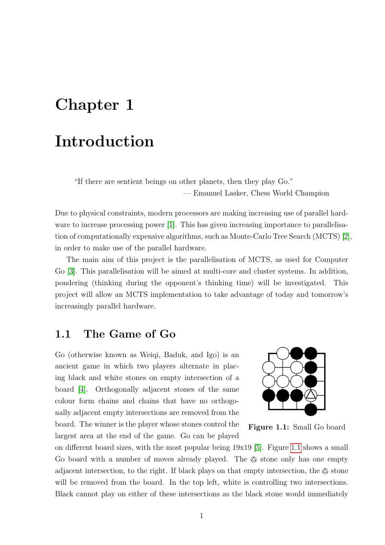## <span id="page-13-0"></span>Chapter 1

## Introduction

"If there are sentient beings on other planets, then they play Go." — Emanuel Lasker, Chess World Champion

Due to physical constraints, modern processors are making increasing use of parallel hardware to increase processing power [\[1\]](#page-48-1). This has given increasing importance to parallelisation of computationally expensive algorithms, such as Monte-Carlo Tree Search (MCTS) [\[2\]](#page-48-2), in order to make use of the parallel hardware.

The main aim of this project is the parallelisation of MCTS, as used for Computer Go [\[3\]](#page-48-3). This parallelisation will be aimed at multi-core and cluster systems. In addition, pondering (thinking during the opponent's thinking time) will be investigated. This project will allow an MCTS implementation to take advantage of today and tomorrow's increasingly parallel hardware.

### <span id="page-13-1"></span>1.1 The Game of Go

Go (otherwise known as Weiqi, Baduk, and Igo) is an ancient game in which two players alternate in placing black and white stones on empty intersection of a board [\[4\]](#page-48-4). Orthogonally adjacent stones of the same colour form chains and chains that have no orthogonally adjacent empty intersections are removed from the board. The winner is the player whose stones control the largest area at the end of the game. Go can be played

<span id="page-13-2"></span>

Figure 1.1: Small Go board

on different board sizes, with the most popular being 19x19 [\[5\]](#page-48-5). Figure [1.1](#page-13-2) shows a small Go board with a number of moves already played. The  $\otimes$  stone only has one empty adjacent intersection, to the right. If black plays on that empty intersection, the  $\otimes$  stone will be removed from the board. In the top left, white is controlling two intersections. Black cannot play on either of these intersections as the black stone would immediately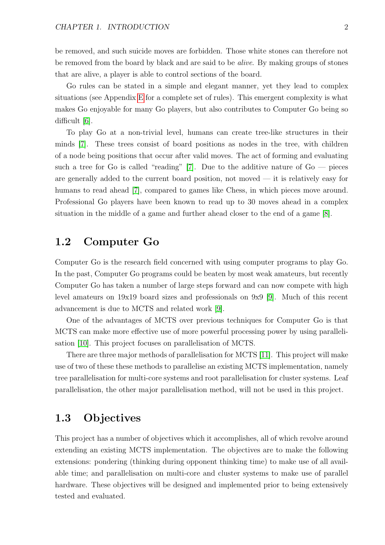be removed, and such suicide moves are forbidden. Those white stones can therefore not be removed from the board by black and are said to be alive. By making groups of stones that are alive, a player is able to control sections of the board.

Go rules can be stated in a simple and elegant manner, yet they lead to complex situations (see Appendix [E](#page-56-0) for a complete set of rules). This emergent complexity is what makes Go enjoyable for many Go players, but also contributes to Computer Go being so difficult [\[6\]](#page-48-6).

To play Go at a non-trivial level, humans can create tree-like structures in their minds [\[7\]](#page-48-7). These trees consist of board positions as nodes in the tree, with children of a node being positions that occur after valid moves. The act of forming and evaluating such a tree for Go is called "reading" [\[7\]](#page-48-7). Due to the additive nature of  $Go$  — pieces are generally added to the current board position, not moved — it is relatively easy for humans to read ahead [\[7\]](#page-48-7), compared to games like Chess, in which pieces move around. Professional Go players have been known to read up to 30 moves ahead in a complex situation in the middle of a game and further ahead closer to the end of a game [\[8\]](#page-48-8).

### <span id="page-14-0"></span>1.2 Computer Go

Computer Go is the research field concerned with using computer programs to play Go. In the past, Computer Go programs could be beaten by most weak amateurs, but recently Computer Go has taken a number of large steps forward and can now compete with high level amateurs on 19x19 board sizes and professionals on 9x9 [\[9\]](#page-48-9). Much of this recent advancement is due to MCTS and related work [\[9\]](#page-48-9).

One of the advantages of MCTS over previous techniques for Computer Go is that MCTS can make more effective use of more powerful processing power by using parallelisation [\[10\]](#page-48-10). This project focuses on parallelisation of MCTS.

There are three major methods of parallelisation for MCTS [\[11\]](#page-49-0). This project will make use of two of these these methods to parallelise an existing MCTS implementation, namely tree parallelisation for multi-core systems and root parallelisation for cluster systems. Leaf parallelisation, the other major parallelisation method, will not be used in this project.

### <span id="page-14-1"></span>1.3 Objectives

This project has a number of objectives which it accomplishes, all of which revolve around extending an existing MCTS implementation. The objectives are to make the following extensions: pondering (thinking during opponent thinking time) to make use of all available time; and parallelisation on multi-core and cluster systems to make use of parallel hardware. These objectives will be designed and implemented prior to being extensively tested and evaluated.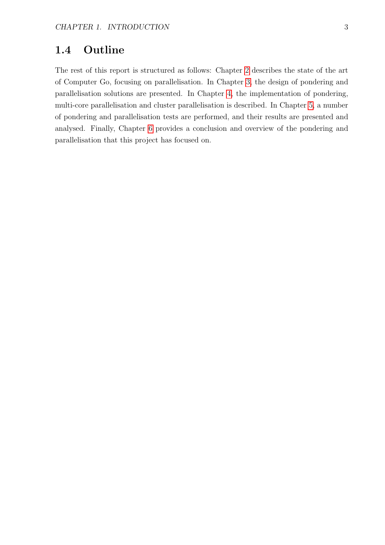### <span id="page-15-0"></span>1.4 Outline

The rest of this report is structured as follows: Chapter [2](#page-16-0) describes the state of the art of Computer Go, focusing on parallelisation. In Chapter [3,](#page-25-0) the design of pondering and parallelisation solutions are presented. In Chapter [4,](#page-29-0) the implementation of pondering, multi-core parallelisation and cluster parallelisation is described. In Chapter [5,](#page-33-0) a number of pondering and parallelisation tests are performed, and their results are presented and analysed. Finally, Chapter [6](#page-46-0) provides a conclusion and overview of the pondering and parallelisation that this project has focused on.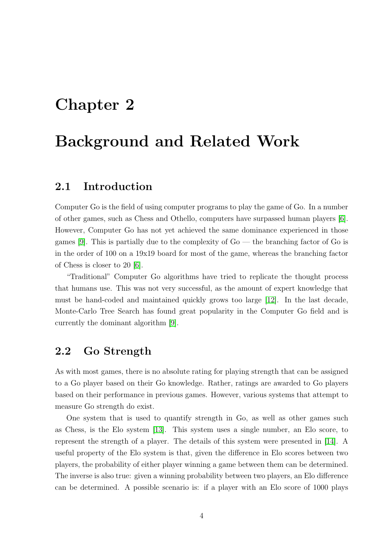## <span id="page-16-0"></span>Chapter 2

## Background and Related Work

### <span id="page-16-1"></span>2.1 Introduction

Computer Go is the field of using computer programs to play the game of Go. In a number of other games, such as Chess and Othello, computers have surpassed human players [\[6\]](#page-48-6). However, Computer Go has not yet achieved the same dominance experienced in those games [\[9\]](#page-48-9). This is partially due to the complexity of  $Go$  — the branching factor of  $Go$  is in the order of 100 on a 19x19 board for most of the game, whereas the branching factor of Chess is closer to 20 [\[6\]](#page-48-6).

"Traditional" Computer Go algorithms have tried to replicate the thought process that humans use. This was not very successful, as the amount of expert knowledge that must be hand-coded and maintained quickly grows too large [\[12\]](#page-49-1). In the last decade, Monte-Carlo Tree Search has found great popularity in the Computer Go field and is currently the dominant algorithm [\[9\]](#page-48-9).

### <span id="page-16-2"></span>2.2 Go Strength

As with most games, there is no absolute rating for playing strength that can be assigned to a Go player based on their Go knowledge. Rather, ratings are awarded to Go players based on their performance in previous games. However, various systems that attempt to measure Go strength do exist.

One system that is used to quantify strength in Go, as well as other games such as Chess, is the Elo system [\[13\]](#page-49-2). This system uses a single number, an Elo score, to represent the strength of a player. The details of this system were presented in [\[14\]](#page-49-3). A useful property of the Elo system is that, given the difference in Elo scores between two players, the probability of either player winning a game between them can be determined. The inverse is also true: given a winning probability between two players, an Elo difference can be determined. A possible scenario is: if a player with an Elo score of 1000 plays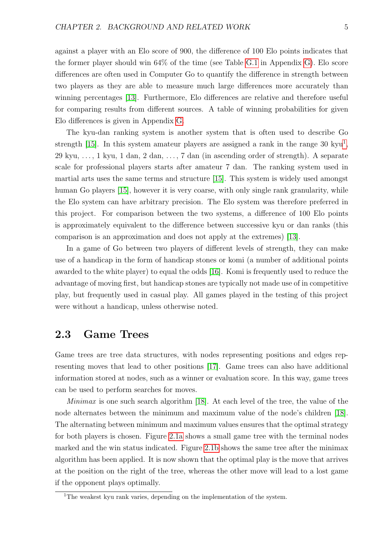against a player with an Elo score of 900, the difference of 100 Elo points indicates that the former player should win 64% of the time (see Table [G.1](#page-59-1) in Appendix [G\)](#page-59-0). Elo score differences are often used in Computer Go to quantify the difference in strength between two players as they are able to measure much large differences more accurately than winning percentages [\[13\]](#page-49-2). Furthermore, Elo differences are relative and therefore useful for comparing results from different sources. A table of winning probabilities for given Elo differences is given in Appendix [G.](#page-59-0)

The kyu-dan ranking system is another system that is often used to describe Go strength [\[15\]](#page-49-4). In this system amateur players are assigned a rank in the range 30 kyu<sup>[1](#page-17-1)</sup>, 29 kyu, . . . , 1 kyu, 1 dan, 2 dan, . . . , 7 dan (in ascending order of strength). A separate scale for professional players starts after amateur 7 dan. The ranking system used in martial arts uses the same terms and structure [\[15\]](#page-49-4). This system is widely used amongst human Go players [\[15\]](#page-49-4), however it is very coarse, with only single rank granularity, while the Elo system can have arbitrary precision. The Elo system was therefore preferred in this project. For comparison between the two systems, a difference of 100 Elo points is approximately equivalent to the difference between successive kyu or dan ranks (this comparison is an approximation and does not apply at the extremes) [\[13\]](#page-49-2).

In a game of Go between two players of different levels of strength, they can make use of a handicap in the form of handicap stones or komi (a number of additional points awarded to the white player) to equal the odds [\[16\]](#page-49-5). Komi is frequently used to reduce the advantage of moving first, but handicap stones are typically not made use of in competitive play, but frequently used in casual play. All games played in the testing of this project were without a handicap, unless otherwise noted.

### <span id="page-17-0"></span>2.3 Game Trees

Game trees are tree data structures, with nodes representing positions and edges representing moves that lead to other positions [\[17\]](#page-49-6). Game trees can also have additional information stored at nodes, such as a winner or evaluation score. In this way, game trees can be used to perform searches for moves.

Minimax is one such search algorithm [\[18\]](#page-49-7). At each level of the tree, the value of the node alternates between the minimum and maximum value of the node's children [\[18\]](#page-49-7). The alternating between minimum and maximum values ensures that the optimal strategy for both players is chosen. Figure [2.1a](#page-18-2) shows a small game tree with the terminal nodes marked and the win status indicated. Figure [2.1b](#page-18-3) shows the same tree after the minimax algorithm has been applied. It is now shown that the optimal play is the move that arrives at the position on the right of the tree, whereas the other move will lead to a lost game if the opponent plays optimally.

<span id="page-17-1"></span><sup>&</sup>lt;sup>1</sup>The weakest kyu rank varies, depending on the implementation of the system.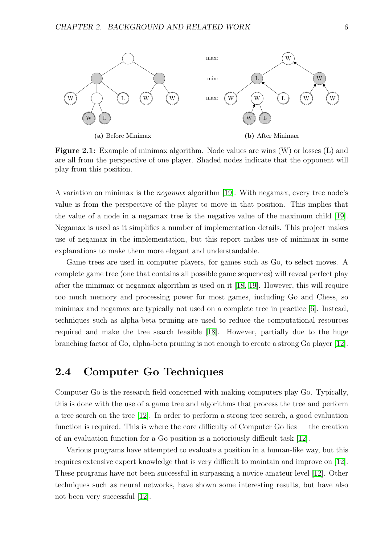<span id="page-18-1"></span>

(a) Before Minimax

<span id="page-18-3"></span>(b) After Minimax

<span id="page-18-2"></span>Figure 2.1: Example of minimax algorithm. Node values are wins (W) or losses (L) and are all from the perspective of one player. Shaded nodes indicate that the opponent will play from this position.

A variation on minimax is the negamax algorithm [\[19\]](#page-49-8). With negamax, every tree node's value is from the perspective of the player to move in that position. This implies that the value of a node in a negamax tree is the negative value of the maximum child [\[19\]](#page-49-8). Negamax is used as it simplifies a number of implementation details. This project makes use of negamax in the implementation, but this report makes use of minimax in some explanations to make them more elegant and understandable.

Game trees are used in computer players, for games such as Go, to select moves. A complete game tree (one that contains all possible game sequences) will reveal perfect play after the minimax or negamax algorithm is used on it [\[18,](#page-49-7) [19\]](#page-49-8). However, this will require too much memory and processing power for most games, including Go and Chess, so minimax and negamax are typically not used on a complete tree in practice [\[6\]](#page-48-6). Instead, techniques such as alpha-beta pruning are used to reduce the computational resources required and make the tree search feasible [\[18\]](#page-49-7). However, partially due to the huge branching factor of Go, alpha-beta pruning is not enough to create a strong Go player [\[12\]](#page-49-1).

### <span id="page-18-0"></span>2.4 Computer Go Techniques

Computer Go is the research field concerned with making computers play Go. Typically, this is done with the use of a game tree and algorithms that process the tree and perform a tree search on the tree [\[12\]](#page-49-1). In order to perform a strong tree search, a good evaluation function is required. This is where the core difficulty of Computer Go lies — the creation of an evaluation function for a Go position is a notoriously difficult task [\[12\]](#page-49-1).

Various programs have attempted to evaluate a position in a human-like way, but this requires extensive expert knowledge that is very difficult to maintain and improve on [\[12\]](#page-49-1). These programs have not been successful in surpassing a novice amateur level [\[12\]](#page-49-1). Other techniques such as neural networks, have shown some interesting results, but have also not been very successful [\[12\]](#page-49-1).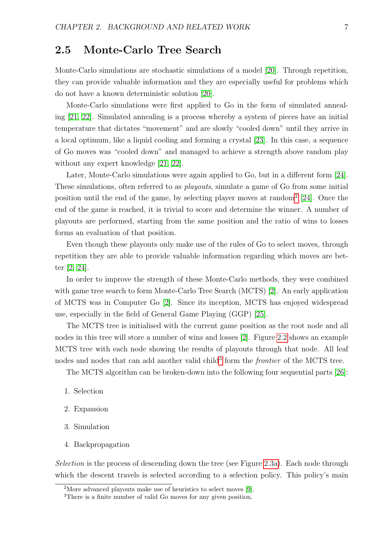### <span id="page-19-0"></span>2.5 Monte-Carlo Tree Search

Monte-Carlo simulations are stochastic simulations of a model [\[20\]](#page-49-9). Through repetition, they can provide valuable information and they are especially useful for problems which do not have a known deterministic solution [\[20\]](#page-49-9).

Monte-Carlo simulations were first applied to Go in the form of simulated annealing [\[21,](#page-49-10) [22\]](#page-49-11). Simulated annealing is a process whereby a system of pieces have an initial temperature that dictates "movement" and are slowly "cooled down" until they arrive in a local optimum, like a liquid cooling and forming a crystal [\[23\]](#page-49-12). In this case, a sequence of Go moves was "cooled down" and managed to achieve a strength above random play without any expert knowledge [\[21,](#page-49-10) [22\]](#page-49-11).

Later, Monte-Carlo simulations were again applied to Go, but in a different form [\[24\]](#page-49-13). These simulations, often referred to as playouts, simulate a game of Go from some initial position until the end of the game, by selecting player moves at random<sup>[2](#page-19-1)</sup> [\[24\]](#page-49-13). Once the end of the game is reached, it is trivial to score and determine the winner. A number of playouts are performed, starting from the same position and the ratio of wins to losses forms an evaluation of that position.

Even though these playouts only make use of the rules of Go to select moves, through repetition they are able to provide valuable information regarding which moves are better [\[2,](#page-48-2) [24\]](#page-49-13).

In order to improve the strength of these Monte-Carlo methods, they were combined with game tree search to form Monte-Carlo Tree Search (MCTS) [\[2\]](#page-48-2). An early application of MCTS was in Computer Go [\[2\]](#page-48-2). Since its inception, MCTS has enjoyed widespread use, especially in the field of General Game Playing (GGP) [\[25\]](#page-49-14).

The MCTS tree is initialised with the current game position as the root node and all nodes in this tree will store a number of wins and losses [\[2\]](#page-48-2). Figure [2.2](#page-20-0) shows an example MCTS tree with each node showing the results of playouts through that node. All leaf nodes and nodes that can add another valid child<sup>[3](#page-19-2)</sup> form the *frontier* of the MCTS tree.

The MCTS algorithm can be broken-down into the following four sequential parts [\[26\]](#page-49-15):

- 1. Selection
- 2. Expansion
- 3. Simulation
- 4. Backpropagation

Selection is the process of descending down the tree (see Figure [2.3a\)](#page-21-2). Each node through which the descent travels is selected according to a selection policy. This policy's main

<span id="page-19-1"></span><sup>2</sup>More advanced playouts make use of heuristics to select moves [\[9\]](#page-48-9).

<span id="page-19-2"></span><sup>3</sup>There is a finite number of valid Go moves for any given position.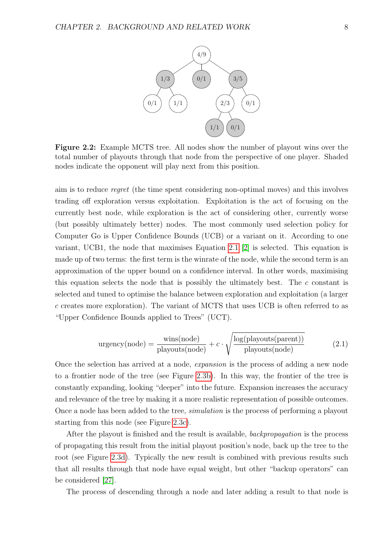<span id="page-20-0"></span>

Figure 2.2: Example MCTS tree. All nodes show the number of playout wins over the total number of playouts through that node from the perspective of one player. Shaded nodes indicate the opponent will play next from this position.

aim is to reduce regret (the time spent considering non-optimal moves) and this involves trading off exploration versus exploitation. Exploitation is the act of focusing on the currently best node, while exploration is the act of considering other, currently worse (but possibly ultimately better) nodes. The most commonly used selection policy for Computer Go is Upper Confidence Bounds (UCB) or a variant on it. According to one variant, UCB1, the node that maximises Equation [2.1](#page-20-1) [\[2\]](#page-48-2) is selected. This equation is made up of two terms: the first term is the winrate of the node, while the second term is an approximation of the upper bound on a confidence interval. In other words, maximising this equation selects the node that is possibly the ultimately best. The  $c$  constant is selected and tuned to optimise the balance between exploration and exploitation (a larger c creates more exploration). The variant of MCTS that uses UCB is often referred to as "Upper Confidence Bounds applied to Trees" (UCT).

<span id="page-20-1"></span>
$$
urgency(node) = \frac{wins(node)}{playouts(node)} + c \cdot \sqrt{\frac{log(playouts(parent))}{playouts(node)}} \tag{2.1}
$$

Once the selection has arrived at a node, expansion is the process of adding a new node to a frontier node of the tree (see Figure [2.3b\)](#page-21-3). In this way, the frontier of the tree is constantly expanding, looking "deeper" into the future. Expansion increases the accuracy and relevance of the tree by making it a more realistic representation of possible outcomes. Once a node has been added to the tree, simulation is the process of performing a playout starting from this node (see Figure [2.3c\)](#page-21-4).

After the playout is finished and the result is available, *backpropagation* is the process of propagating this result from the initial playout position's node, back up the tree to the root (see Figure [2.3d\)](#page-21-5). Typically the new result is combined with previous results such that all results through that node have equal weight, but other "backup operators" can be considered [\[27\]](#page-49-16).

The process of descending through a node and later adding a result to that node is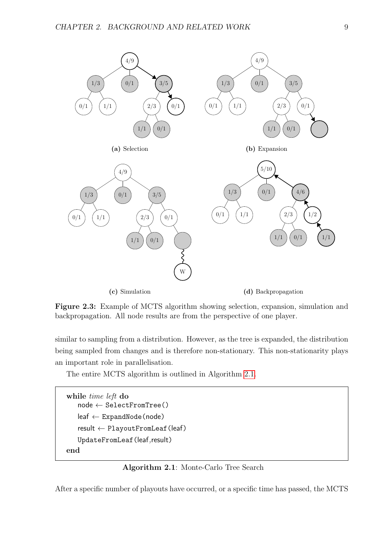<span id="page-21-3"></span><span id="page-21-2"></span><span id="page-21-0"></span>

<span id="page-21-5"></span><span id="page-21-4"></span>Figure 2.3: Example of MCTS algorithm showing selection, expansion, simulation and backpropagation. All node results are from the perspective of one player.

similar to sampling from a distribution. However, as the tree is expanded, the distribution being sampled from changes and is therefore non-stationary. This non-stationarity plays an important role in parallelisation.

<span id="page-21-1"></span>The entire MCTS algorithm is outlined in Algorithm [2.1.](#page-21-1)

```
while time left do
   node \leftarrow SelectFromTree()leaf ← ExpandNode(node)
   result ← PlayoutFromLeaf(leaf)
   UpdateFromLeaf(leaf,result)
end
```
#### Algorithm 2.1: Monte-Carlo Tree Search

After a specific number of playouts have occurred, or a specific time has passed, the MCTS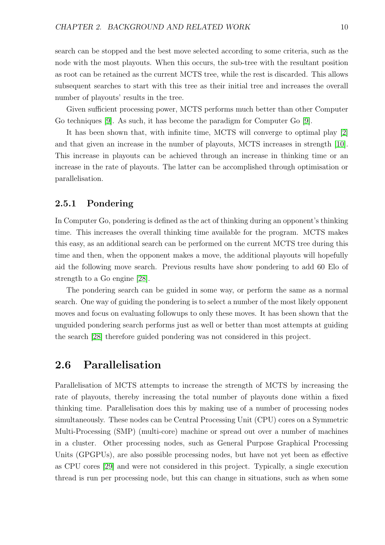search can be stopped and the best move selected according to some criteria, such as the node with the most playouts. When this occurs, the sub-tree with the resultant position as root can be retained as the current MCTS tree, while the rest is discarded. This allows subsequent searches to start with this tree as their initial tree and increases the overall number of playouts' results in the tree.

Given sufficient processing power, MCTS performs much better than other Computer Go techniques [\[9\]](#page-48-9). As such, it has become the paradigm for Computer Go [\[9\]](#page-48-9).

It has been shown that, with infinite time, MCTS will converge to optimal play [\[2\]](#page-48-2) and that given an increase in the number of playouts, MCTS increases in strength [\[10\]](#page-48-10). This increase in playouts can be achieved through an increase in thinking time or an increase in the rate of playouts. The latter can be accomplished through optimisation or parallelisation.

#### <span id="page-22-0"></span>2.5.1 Pondering

In Computer Go, pondering is defined as the act of thinking during an opponent's thinking time. This increases the overall thinking time available for the program. MCTS makes this easy, as an additional search can be performed on the current MCTS tree during this time and then, when the opponent makes a move, the additional playouts will hopefully aid the following move search. Previous results have show pondering to add 60 Elo of strength to a Go engine [\[28\]](#page-50-0).

The pondering search can be guided in some way, or perform the same as a normal search. One way of guiding the pondering is to select a number of the most likely opponent moves and focus on evaluating followups to only these moves. It has been shown that the unguided pondering search performs just as well or better than most attempts at guiding the search [\[28\]](#page-50-0) therefore guided pondering was not considered in this project.

### <span id="page-22-1"></span>2.6 Parallelisation

Parallelisation of MCTS attempts to increase the strength of MCTS by increasing the rate of playouts, thereby increasing the total number of playouts done within a fixed thinking time. Parallelisation does this by making use of a number of processing nodes simultaneously. These nodes can be Central Processing Unit (CPU) cores on a Symmetric Multi-Processing (SMP) (multi-core) machine or spread out over a number of machines in a cluster. Other processing nodes, such as General Purpose Graphical Processing Units (GPGPUs), are also possible processing nodes, but have not yet been as effective as CPU cores [\[29\]](#page-50-1) and were not considered in this project. Typically, a single execution thread is run per processing node, but this can change in situations, such as when some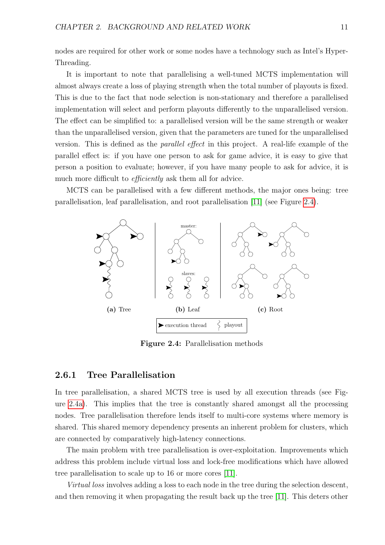nodes are required for other work or some nodes have a technology such as Intel's Hyper-Threading.

It is important to note that parallelising a well-tuned MCTS implementation will almost always create a loss of playing strength when the total number of playouts is fixed. This is due to the fact that node selection is non-stationary and therefore a parallelised implementation will select and perform playouts differently to the unparallelised version. The effect can be simplified to: a parallelised version will be the same strength or weaker than the unparallelised version, given that the parameters are tuned for the unparallelised version. This is defined as the parallel effect in this project. A real-life example of the parallel effect is: if you have one person to ask for game advice, it is easy to give that person a position to evaluate; however, if you have many people to ask for advice, it is much more difficult to *efficiently* ask them all for advice.

<span id="page-23-1"></span>MCTS can be parallelised with a few different methods, the major ones being: tree parallelisation, leaf parallelisation, and root parallelisation [\[11\]](#page-49-0) (see Figure [2.4\)](#page-23-1).



<span id="page-23-4"></span><span id="page-23-3"></span><span id="page-23-2"></span>Figure 2.4: Parallelisation methods

#### <span id="page-23-0"></span>2.6.1 Tree Parallelisation

In tree parallelisation, a shared MCTS tree is used by all execution threads (see Figure [2.4a\)](#page-23-2). This implies that the tree is constantly shared amongst all the processing nodes. Tree parallelisation therefore lends itself to multi-core systems where memory is shared. This shared memory dependency presents an inherent problem for clusters, which are connected by comparatively high-latency connections.

The main problem with tree parallelisation is over-exploitation. Improvements which address this problem include virtual loss and lock-free modifications which have allowed tree parallelisation to scale up to 16 or more cores [\[11\]](#page-49-0).

Virtual loss involves adding a loss to each node in the tree during the selection descent, and then removing it when propagating the result back up the tree [\[11\]](#page-49-0). This deters other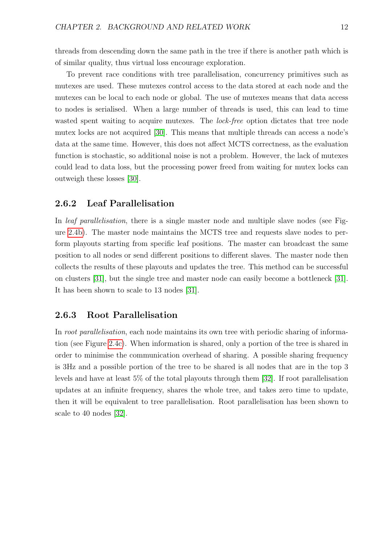threads from descending down the same path in the tree if there is another path which is of similar quality, thus virtual loss encourage exploration.

To prevent race conditions with tree parallelisation, concurrency primitives such as mutexes are used. These mutexes control access to the data stored at each node and the mutexes can be local to each node or global. The use of mutexes means that data access to nodes is serialised. When a large number of threads is used, this can lead to time wasted spent waiting to acquire mutexes. The *lock-free* option dictates that tree node mutex locks are not acquired [\[30\]](#page-50-2). This means that multiple threads can access a node's data at the same time. However, this does not affect MCTS correctness, as the evaluation function is stochastic, so additional noise is not a problem. However, the lack of mutexes could lead to data loss, but the processing power freed from waiting for mutex locks can outweigh these losses [\[30\]](#page-50-2).

#### <span id="page-24-0"></span>2.6.2 Leaf Parallelisation

In *leaf parallelisation*, there is a single master node and multiple slave nodes (see Figure [2.4b\)](#page-23-3). The master node maintains the MCTS tree and requests slave nodes to perform playouts starting from specific leaf positions. The master can broadcast the same position to all nodes or send different positions to different slaves. The master node then collects the results of these playouts and updates the tree. This method can be successful on clusters [\[31\]](#page-50-3), but the single tree and master node can easily become a bottleneck [\[31\]](#page-50-3). It has been shown to scale to 13 nodes [\[31\]](#page-50-3).

#### <span id="page-24-1"></span>2.6.3 Root Parallelisation

In root parallelisation, each node maintains its own tree with periodic sharing of information (see Figure [2.4c\)](#page-23-4). When information is shared, only a portion of the tree is shared in order to minimise the communication overhead of sharing. A possible sharing frequency is 3Hz and a possible portion of the tree to be shared is all nodes that are in the top 3 levels and have at least 5% of the total playouts through them [\[32\]](#page-50-4). If root parallelisation updates at an infinite frequency, shares the whole tree, and takes zero time to update, then it will be equivalent to tree parallelisation. Root parallelisation has been shown to scale to 40 nodes [\[32\]](#page-50-4).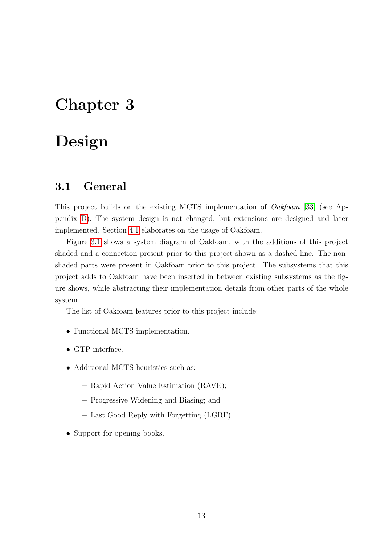### <span id="page-25-0"></span>Chapter 3

## Design

### <span id="page-25-1"></span>3.1 General

This project builds on the existing MCTS implementation of Oakfoam [\[33\]](#page-50-5) (see Appendix [D\)](#page-55-0). The system design is not changed, but extensions are designed and later implemented. Section [4.1](#page-29-1) elaborates on the usage of Oakfoam.

Figure [3.1](#page-26-2) shows a system diagram of Oakfoam, with the additions of this project shaded and a connection present prior to this project shown as a dashed line. The nonshaded parts were present in Oakfoam prior to this project. The subsystems that this project adds to Oakfoam have been inserted in between existing subsystems as the figure shows, while abstracting their implementation details from other parts of the whole system.

The list of Oakfoam features prior to this project include:

- Functional MCTS implementation.
- GTP interface.
- Additional MCTS heuristics such as:
	- Rapid Action Value Estimation (RAVE);
	- Progressive Widening and Biasing; and
	- Last Good Reply with Forgetting (LGRF).
- Support for opening books.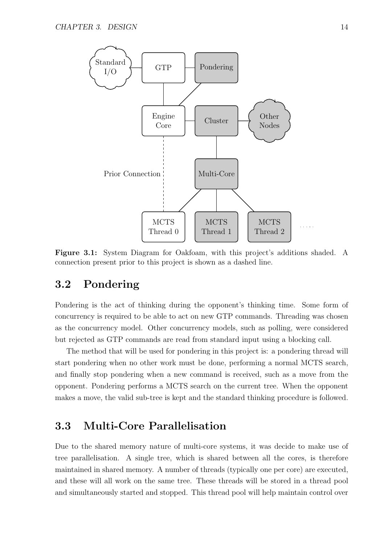<span id="page-26-2"></span>

Figure 3.1: System Diagram for Oakfoam, with this project's additions shaded. A connection present prior to this project is shown as a dashed line.

### <span id="page-26-0"></span>3.2 Pondering

Pondering is the act of thinking during the opponent's thinking time. Some form of concurrency is required to be able to act on new GTP commands. Threading was chosen as the concurrency model. Other concurrency models, such as polling, were considered but rejected as GTP commands are read from standard input using a blocking call.

The method that will be used for pondering in this project is: a pondering thread will start pondering when no other work must be done, performing a normal MCTS search, and finally stop pondering when a new command is received, such as a move from the opponent. Pondering performs a MCTS search on the current tree. When the opponent makes a move, the valid sub-tree is kept and the standard thinking procedure is followed.

### <span id="page-26-1"></span>3.3 Multi-Core Parallelisation

Due to the shared memory nature of multi-core systems, it was decide to make use of tree parallelisation. A single tree, which is shared between all the cores, is therefore maintained in shared memory. A number of threads (typically one per core) are executed, and these will all work on the same tree. These threads will be stored in a thread pool and simultaneously started and stopped. This thread pool will help maintain control over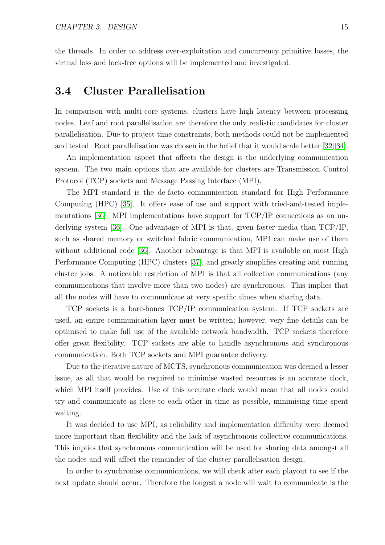the threads. In order to address over-exploitation and concurrency primitive losses, the virtual loss and lock-free options will be implemented and investigated.

### <span id="page-27-0"></span>3.4 Cluster Parallelisation

In comparison with multi-core systems, clusters have high latency between processing nodes. Leaf and root parallelisation are therefore the only realistic candidates for cluster parallelisation. Due to project time constraints, both methods could not be implemented and tested. Root parallelisation was chosen in the belief that it would scale better [\[32,](#page-50-4) [34\]](#page-50-6).

An implementation aspect that affects the design is the underlying communication system. The two main options that are available for clusters are Transmission Control Protocol (TCP) sockets and Message Passing Interface (MPI).

The MPI standard is the de-facto communication standard for High Performance Computing (HPC) [\[35\]](#page-50-7). It offers ease of use and support with tried-and-tested implementations [\[36\]](#page-50-8). MPI implementations have support for TCP/IP connections as an underlying system [\[36\]](#page-50-8). One advantage of MPI is that, given faster media than TCP/IP, such as shared memory or switched fabric communication, MPI can make use of them without additional code [\[36\]](#page-50-8). Another advantage is that MPI is available on most High Performance Computing (HPC) clusters [\[37\]](#page-50-9), and greatly simplifies creating and running cluster jobs. A noticeable restriction of MPI is that all collective communications (any communications that involve more than two nodes) are synchronous. This implies that all the nodes will have to communicate at very specific times when sharing data.

TCP sockets is a bare-bones TCP/IP communication system. If TCP sockets are used, an entire communication layer must be written; however, very fine details can be optimised to make full use of the available network bandwidth. TCP sockets therefore offer great flexibility. TCP sockets are able to handle asynchronous and synchronous communication. Both TCP sockets and MPI guarantee delivery.

Due to the iterative nature of MCTS, synchronous communication was deemed a lesser issue, as all that would be required to minimise wasted resources is an accurate clock, which MPI itself provides. Use of this accurate clock would mean that all nodes could try and communicate as close to each other in time as possible, minimising time spent waiting.

It was decided to use MPI, as reliability and implementation difficulty were deemed more important than flexibility and the lack of asynchronous collective communications. This implies that synchronous communication will be used for sharing data amongst all the nodes and will affect the remainder of the cluster parallelisation design.

In order to synchronise communications, we will check after each playout to see if the next update should occur. Therefore the longest a node will wait to communicate is the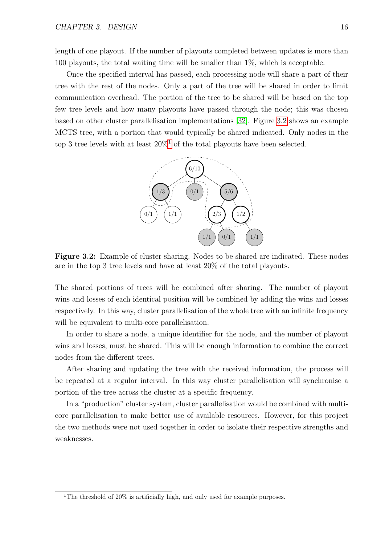length of one playout. If the number of playouts completed between updates is more than 100 playouts, the total waiting time will be smaller than 1%, which is acceptable.

Once the specified interval has passed, each processing node will share a part of their tree with the rest of the nodes. Only a part of the tree will be shared in order to limit communication overhead. The portion of the tree to be shared will be based on the top few tree levels and how many playouts have passed through the node; this was chosen based on other cluster parallelisation implementations [\[32\]](#page-50-4). Figure [3.2](#page-28-0) shows an example MCTS tree, with a portion that would typically be shared indicated. Only nodes in the top 3 tree levels with at least  $20\%$ <sup>[1](#page-28-1)</sup> of the total playouts have been selected.

<span id="page-28-0"></span>

Figure 3.2: Example of cluster sharing. Nodes to be shared are indicated. These nodes are in the top 3 tree levels and have at least 20% of the total playouts.

The shared portions of trees will be combined after sharing. The number of playout wins and losses of each identical position will be combined by adding the wins and losses respectively. In this way, cluster parallelisation of the whole tree with an infinite frequency will be equivalent to multi-core parallelisation.

In order to share a node, a unique identifier for the node, and the number of playout wins and losses, must be shared. This will be enough information to combine the correct nodes from the different trees.

After sharing and updating the tree with the received information, the process will be repeated at a regular interval. In this way cluster parallelisation will synchronise a portion of the tree across the cluster at a specific frequency.

In a "production" cluster system, cluster parallelisation would be combined with multicore parallelisation to make better use of available resources. However, for this project the two methods were not used together in order to isolate their respective strengths and weaknesses.

<span id="page-28-1"></span><sup>&</sup>lt;sup>1</sup>The threshold of  $20\%$  is artificially high, and only used for example purposes.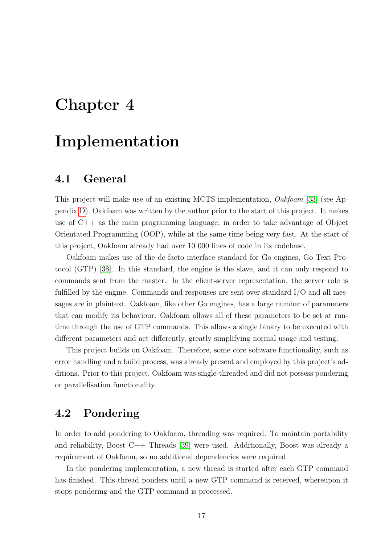## <span id="page-29-0"></span>Chapter 4

## Implementation

### <span id="page-29-1"></span>4.1 General

This project will make use of an existing MCTS implementation, Oakfoam [\[33\]](#page-50-5) (see Appendix [D\)](#page-55-0). Oakfoam was written by the author prior to the start of this project. It makes use of  $C_{++}$  as the main programming language, in order to take advantage of Object Orientated Programming (OOP), while at the same time being very fast. At the start of this project, Oakfoam already had over 10 000 lines of code in its codebase.

Oakfoam makes use of the de-facto interface standard for Go engines, Go Text Protocol (GTP) [\[38\]](#page-50-10). In this standard, the engine is the slave, and it can only respond to commands sent from the master. In the client-server representation, the server role is fulfilled by the engine. Commands and responses are sent over standard  $I/O$  and all messages are in plaintext. Oakfoam, like other Go engines, has a large number of parameters that can modify its behaviour. Oakfoam allows all of these parameters to be set at runtime through the use of GTP commands. This allows a single binary to be executed with different parameters and act differently, greatly simplifying normal usage and testing.

This project builds on Oakfoam. Therefore, some core software functionality, such as error handling and a build process, was already present and employed by this project's additions. Prior to this project, Oakfoam was single-threaded and did not possess pondering or parallelisation functionality.

### <span id="page-29-2"></span>4.2 Pondering

In order to add pondering to Oakfoam, threading was required. To maintain portability and reliability, Boost C++ Threads [\[39\]](#page-50-11) were used. Additionally, Boost was already a requirement of Oakfoam, so no additional dependencies were required.

In the pondering implementation, a new thread is started after each GTP command has finished. This thread ponders until a new GTP command is received, whereupon it stops pondering and the GTP command is processed.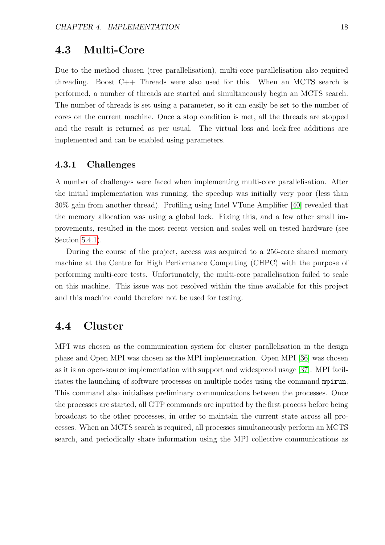### <span id="page-30-0"></span>4.3 Multi-Core

Due to the method chosen (tree parallelisation), multi-core parallelisation also required threading. Boost  $C_{++}$  Threads were also used for this. When an MCTS search is performed, a number of threads are started and simultaneously begin an MCTS search. The number of threads is set using a parameter, so it can easily be set to the number of cores on the current machine. Once a stop condition is met, all the threads are stopped and the result is returned as per usual. The virtual loss and lock-free additions are implemented and can be enabled using parameters.

#### <span id="page-30-1"></span>4.3.1 Challenges

A number of challenges were faced when implementing multi-core parallelisation. After the initial implementation was running, the speedup was initially very poor (less than 30% gain from another thread). Profiling using Intel VTune Amplifier [\[40\]](#page-50-12) revealed that the memory allocation was using a global lock. Fixing this, and a few other small improvements, resulted in the most recent version and scales well on tested hardware (see Section [5.4.1\)](#page-37-1).

During the course of the project, access was acquired to a 256-core shared memory machine at the Centre for High Performance Computing (CHPC) with the purpose of performing multi-core tests. Unfortunately, the multi-core parallelisation failed to scale on this machine. This issue was not resolved within the time available for this project and this machine could therefore not be used for testing.

### <span id="page-30-2"></span>4.4 Cluster

MPI was chosen as the communication system for cluster parallelisation in the design phase and Open MPI was chosen as the MPI implementation. Open MPI [\[36\]](#page-50-8) was chosen as it is an open-source implementation with support and widespread usage [\[37\]](#page-50-9). MPI facilitates the launching of software processes on multiple nodes using the command mpirun. This command also initialises preliminary communications between the processes. Once the processes are started, all GTP commands are inputted by the first process before being broadcast to the other processes, in order to maintain the current state across all processes. When an MCTS search is required, all processes simultaneously perform an MCTS search, and periodically share information using the MPI collective communications as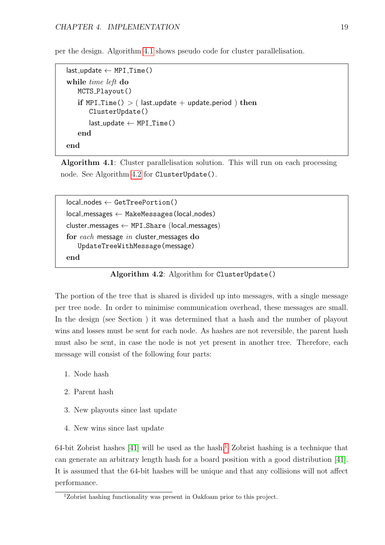<span id="page-31-0"></span>per the design. Algorithm [4.1](#page-31-0) shows pseudo code for cluster parallelisation.

```
last\_update \leftarrow MPI\_Time()while time left do
   MCTS_Playout()
   if MPI Time() > ( last update + update period ) then
       ClusterUpdate()
       last\_update \leftarrow MPI\_Time()end
end
```
Algorithm 4.1: Cluster parallelisation solution. This will run on each processing node. See Algorithm [4.2](#page-31-1) for ClusterUpdate().

```
local\_nodes \leftarrow GetTreePortion()local messages ← MakeMessages(local nodes)
cluster messages \leftarrow MPI Share (local messages)
for each message in cluster messages do
   UpdateTreeWithMessage(message)
end
```
Algorithm 4.2: Algorithm for ClusterUpdate()

The portion of the tree that is shared is divided up into messages, with a single message per tree node. In order to minimise communication overhead, these messages are small. In the design (see Section ) it was determined that a hash and the number of playout wins and losses must be sent for each node. As hashes are not reversible, the parent hash must also be sent, in case the node is not yet present in another tree. Therefore, each message will consist of the following four parts:

- 1. Node hash
- 2. Parent hash
- 3. New playouts since last update
- 4. New wins since last update

64-bit Zobrist hashes  $[41]$  will be used as the hash.<sup>[1](#page-31-2)</sup> Zobrist hashing is a technique that can generate an arbitrary length hash for a board position with a good distribution [\[41\]](#page-50-13). It is assumed that the 64-bit hashes will be unique and that any collisions will not affect performance.

<span id="page-31-2"></span><sup>1</sup>Zobrist hashing functionality was present in Oakfoam prior to this project.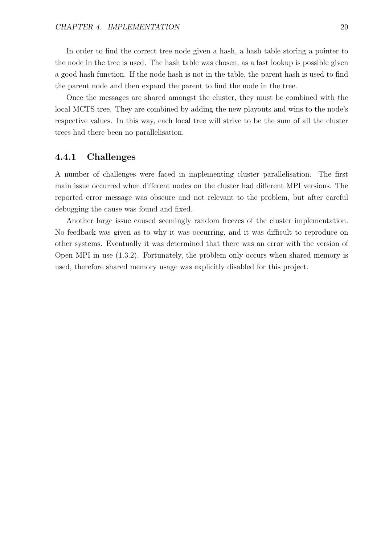In order to find the correct tree node given a hash, a hash table storing a pointer to the node in the tree is used. The hash table was chosen, as a fast lookup is possible given a good hash function. If the node hash is not in the table, the parent hash is used to find the parent node and then expand the parent to find the node in the tree.

Once the messages are shared amongst the cluster, they must be combined with the local MCTS tree. They are combined by adding the new playouts and wins to the node's respective values. In this way, each local tree will strive to be the sum of all the cluster trees had there been no parallelisation.

#### <span id="page-32-0"></span>4.4.1 Challenges

A number of challenges were faced in implementing cluster parallelisation. The first main issue occurred when different nodes on the cluster had different MPI versions. The reported error message was obscure and not relevant to the problem, but after careful debugging the cause was found and fixed.

Another large issue caused seemingly random freezes of the cluster implementation. No feedback was given as to why it was occurring, and it was difficult to reproduce on other systems. Eventually it was determined that there was an error with the version of Open MPI in use (1.3.2). Fortunately, the problem only occurs when shared memory is used, therefore shared memory usage was explicitly disabled for this project.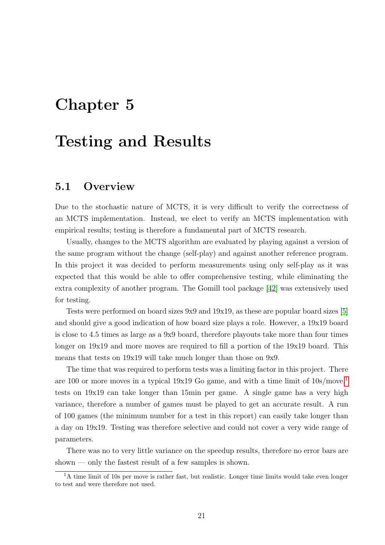## <span id="page-33-0"></span>Chapter 5

## Testing and Results

### <span id="page-33-1"></span>5.1 Overview

Due to the stochastic nature of MCTS, it is very difficult to verify the correctness of an MCTS implementation. Instead, we elect to verify an MCTS implementation with empirical results; testing is therefore a fundamental part of MCTS research.

Usually, changes to the MCTS algorithm are evaluated by playing against a version of the same program without the change (self-play) and against another reference program. In this project it was decided to perform measurements using only self-play as it was expected that this would be able to offer comprehensive testing, while eliminating the extra complexity of another program. The Gomill tool package [\[42\]](#page-50-14) was extensively used for testing.

Tests were performed on board sizes 9x9 and 19x19, as these are popular board sizes [\[5\]](#page-48-5) and should give a good indication of how board size plays a role. However, a 19x19 board is close to 4.5 times as large as a 9x9 board, therefore playouts take more than four times longer on  $19x19$  and more moves are required to fill a portion of the  $19x19$  board. This means that tests on 19x19 will take much longer than those on 9x9.

The time that was required to perform tests was a limiting factor in this project. There are [1](#page-33-2)00 or more moves in a typical  $19x19$  Go game, and with a time limit of  $10s/move<sup>1</sup>$ tests on 19x19 can take longer than 15min per game. A single game has a very high variance, therefore a number of games must be played to get an accurate result. A run of 100 games (the minimum number for a test in this report) can easily take longer than a day on 19x19. Testing was therefore selective and could not cover a very wide range of parameters.

There was no to very little variance on the speedup results, therefore no error bars are shown — only the fastest result of a few samples is shown.

<span id="page-33-2"></span> $1<sup>1</sup>A$  time limit of 10s per move is rather fast, but realistic. Longer time limits would take even longer to test and were therefore not used.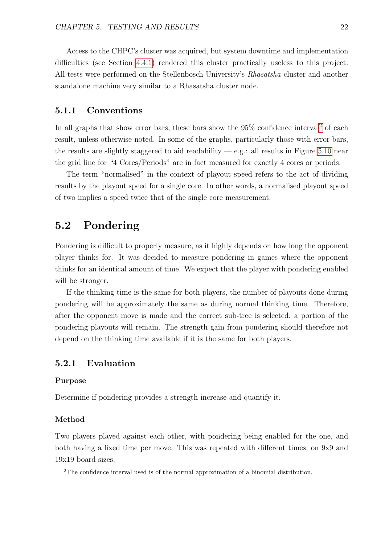Access to the CHPC's cluster was acquired, but system downtime and implementation difficulties (see Section [4.4.1\)](#page-32-0) rendered this cluster practically useless to this project. All tests were performed on the Stellenbosch University's Rhasatsha cluster and another standalone machine very similar to a Rhasatsha cluster node.

#### <span id="page-34-0"></span>5.1.1 Conventions

In all graphs that show error bars, these bars show the  $95\%$  confidence interval<sup>[2](#page-34-3)</sup> of each result, unless otherwise noted. In some of the graphs, particularly those with error bars, the results are slightly staggered to aid readability  $-e.g.:$  all results in Figure [5.10](#page-44-1) near the grid line for "4 Cores/Periods" are in fact measured for exactly 4 cores or periods.

The term "normalised" in the context of playout speed refers to the act of dividing results by the playout speed for a single core. In other words, a normalised playout speed of two implies a speed twice that of the single core measurement.

### <span id="page-34-1"></span>5.2 Pondering

Pondering is difficult to properly measure, as it highly depends on how long the opponent player thinks for. It was decided to measure pondering in games where the opponent thinks for an identical amount of time. We expect that the player with pondering enabled will be stronger.

If the thinking time is the same for both players, the number of playouts done during pondering will be approximately the same as during normal thinking time. Therefore, after the opponent move is made and the correct sub-tree is selected, a portion of the pondering playouts will remain. The strength gain from pondering should therefore not depend on the thinking time available if it is the same for both players.

#### <span id="page-34-2"></span>5.2.1 Evaluation

#### Purpose

Determine if pondering provides a strength increase and quantify it.

#### Method

Two players played against each other, with pondering being enabled for the one, and both having a fixed time per move. This was repeated with different times, on 9x9 and 19x19 board sizes.

<span id="page-34-3"></span><sup>2</sup>The confidence interval used is of the normal approximation of a binomial distribution.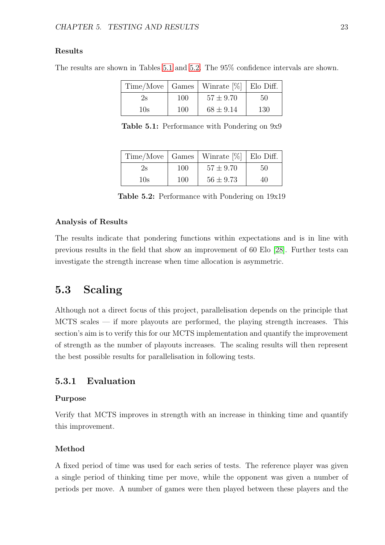#### Results

<span id="page-35-2"></span>The results are shown in Tables [5.1](#page-35-2) and [5.2.](#page-35-3) The 95% confidence intervals are shown.

|     |     | $Time/Move$   Games   Winrate $[\%]$   Elo Diff. |     |
|-----|-----|--------------------------------------------------|-----|
| 2s  | 100 | $57 \pm 9.70$                                    | 50  |
| 10s | 100 | $68 \pm 9.14$                                    | 130 |

Table 5.1: Performance with Pondering on 9x9

<span id="page-35-3"></span>

|     |     | $Time/Move$   Games   Winrate $[\%]$   Elo Diff. |    |
|-----|-----|--------------------------------------------------|----|
| 2s  | 100 | $57 \pm 9.70$                                    | 50 |
| 10s | 100 | $56 \pm 9.73$                                    | 40 |

Table 5.2: Performance with Pondering on 19x19

#### Analysis of Results

The results indicate that pondering functions within expectations and is in line with previous results in the field that show an improvement of 60 Elo [\[28\]](#page-50-0). Further tests can investigate the strength increase when time allocation is asymmetric.

### <span id="page-35-0"></span>5.3 Scaling

Although not a direct focus of this project, parallelisation depends on the principle that MCTS scales — if more playouts are performed, the playing strength increases. This section's aim is to verify this for our MCTS implementation and quantify the improvement of strength as the number of playouts increases. The scaling results will then represent the best possible results for parallelisation in following tests.

#### <span id="page-35-1"></span>5.3.1 Evaluation

#### Purpose

Verify that MCTS improves in strength with an increase in thinking time and quantify this improvement.

#### Method

A fixed period of time was used for each series of tests. The reference player was given a single period of thinking time per move, while the opponent was given a number of periods per move. A number of games were then played between these players and the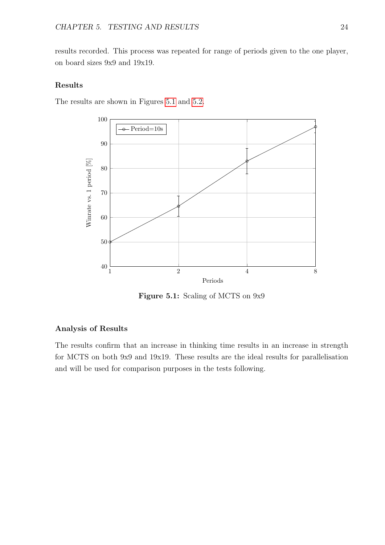results recorded. This process was repeated for range of periods given to the one player, on board sizes 9x9 and 19x19.

#### Results

<span id="page-36-0"></span>The results are shown in Figures [5.1](#page-36-0) and [5.2.](#page-37-2)



Figure 5.1: Scaling of MCTS on 9x9

#### Analysis of Results

The results confirm that an increase in thinking time results in an increase in strength for MCTS on both 9x9 and 19x19. These results are the ideal results for parallelisation and will be used for comparison purposes in the tests following.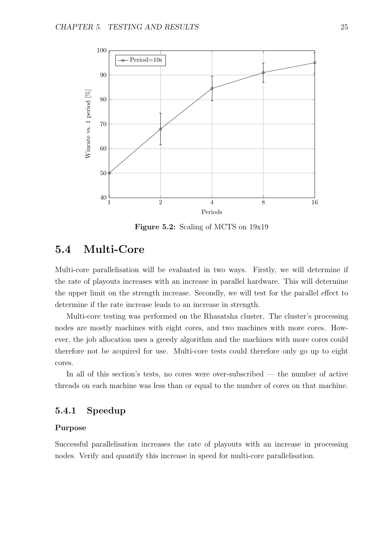<span id="page-37-2"></span>

Figure 5.2: Scaling of MCTS on 19x19

### <span id="page-37-0"></span>5.4 Multi-Core

Multi-core parallelisation will be evaluated in two ways. Firstly, we will determine if the rate of playouts increases with an increase in parallel hardware. This will determine the upper limit on the strength increase. Secondly, we will test for the parallel effect to determine if the rate increase leads to an increase in strength.

Multi-core testing was performed on the Rhasatsha cluster. The cluster's processing nodes are mostly machines with eight cores, and two machines with more cores. However, the job allocation uses a greedy algorithm and the machines with more cores could therefore not be acquired for use. Multi-core tests could therefore only go up to eight cores.

In all of this section's tests, no cores were over-subscribed — the number of active threads on each machine was less than or equal to the number of cores on that machine.

#### <span id="page-37-1"></span>5.4.1 Speedup

#### Purpose

Successful parallelisation increases the rate of playouts with an increase in processing nodes. Verify and quantify this increase in speed for multi-core parallelisation.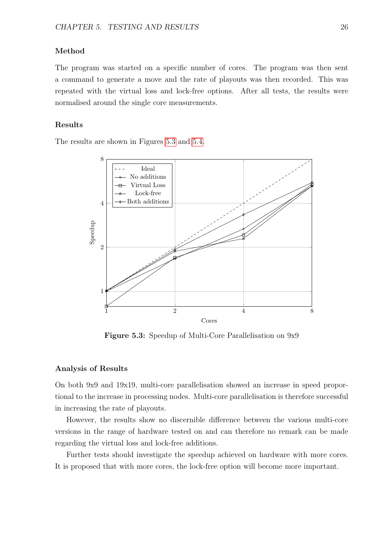#### Method

The program was started on a specific number of cores. The program was then sent a command to generate a move and the rate of playouts was then recorded. This was repeated with the virtual loss and lock-free options. After all tests, the results were normalised around the single core measurements.

#### Results

<span id="page-38-0"></span>The results are shown in Figures [5.3](#page-38-0) and [5.4.](#page-39-1)



Figure 5.3: Speedup of Multi-Core Parallelisation on 9x9

#### Analysis of Results

On both 9x9 and 19x19, multi-core parallelisation showed an increase in speed proportional to the increase in processing nodes. Multi-core parallelisation is therefore successful in increasing the rate of playouts.

However, the results show no discernible difference between the various multi-core versions in the range of hardware tested on and can therefore no remark can be made regarding the virtual loss and lock-free additions.

Further tests should investigate the speedup achieved on hardware with more cores. It is proposed that with more cores, the lock-free option will become more important.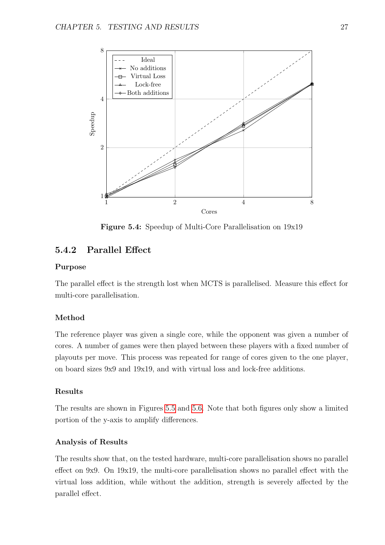<span id="page-39-1"></span>

Figure 5.4: Speedup of Multi-Core Parallelisation on 19x19

#### <span id="page-39-0"></span>5.4.2 Parallel Effect

#### Purpose

The parallel effect is the strength lost when MCTS is parallelised. Measure this effect for multi-core parallelisation.

#### Method

The reference player was given a single core, while the opponent was given a number of cores. A number of games were then played between these players with a fixed number of playouts per move. This process was repeated for range of cores given to the one player, on board sizes 9x9 and 19x19, and with virtual loss and lock-free additions.

#### Results

The results are shown in Figures [5.5](#page-40-0) and [5.6.](#page-40-1) Note that both figures only show a limited portion of the y-axis to amplify differences.

#### Analysis of Results

The results show that, on the tested hardware, multi-core parallelisation shows no parallel effect on 9x9. On 19x19, the multi-core parallelisation shows no parallel effect with the virtual loss addition, while without the addition, strength is severely affected by the parallel effect.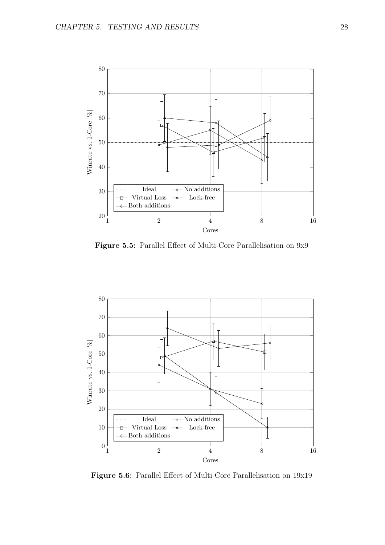<span id="page-40-0"></span>

Figure 5.5: Parallel Effect of Multi-Core Parallelisation on 9x9

<span id="page-40-1"></span>

Figure 5.6: Parallel Effect of Multi-Core Parallelisation on 19x19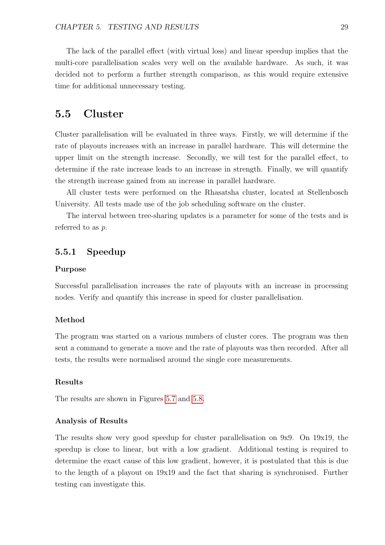The lack of the parallel effect (with virtual loss) and linear speedup implies that the multi-core parallelisation scales very well on the available hardware. As such, it was decided not to perform a further strength comparison, as this would require extensive time for additional unnecessary testing.

### <span id="page-41-0"></span>5.5 Cluster

Cluster parallelisation will be evaluated in three ways. Firstly, we will determine if the rate of playouts increases with an increase in parallel hardware. This will determine the upper limit on the strength increase. Secondly, we will test for the parallel effect, to determine if the rate increase leads to an increase in strength. Finally, we will quantify the strength increase gained from an increase in parallel hardware.

All cluster tests were performed on the Rhasatsha cluster, located at Stellenbosch University. All tests made use of the job scheduling software on the cluster.

The interval between tree-sharing updates is a parameter for some of the tests and is referred to as  $p$ .

#### <span id="page-41-1"></span>5.5.1 Speedup

#### Purpose

Successful parallelisation increases the rate of playouts with an increase in processing nodes. Verify and quantify this increase in speed for cluster parallelisation.

#### Method

The program was started on a various numbers of cluster cores. The program was then sent a command to generate a move and the rate of playouts was then recorded. After all tests, the results were normalised around the single core measurements.

#### Results

The results are shown in Figures [5.7](#page-42-0) and [5.8.](#page-42-1)

#### Analysis of Results

The results show very good speedup for cluster parallelisation on 9x9. On 19x19, the speedup is close to linear, but with a low gradient. Additional testing is required to determine the exact cause of this low gradient, however, it is postulated that this is due to the length of a playout on 19x19 and the fact that sharing is synchronised. Further testing can investigate this.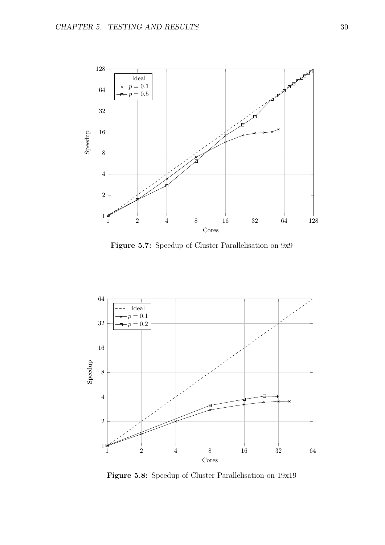<span id="page-42-0"></span>

Figure 5.7: Speedup of Cluster Parallelisation on 9x9

<span id="page-42-1"></span>

Figure 5.8: Speedup of Cluster Parallelisation on 19x19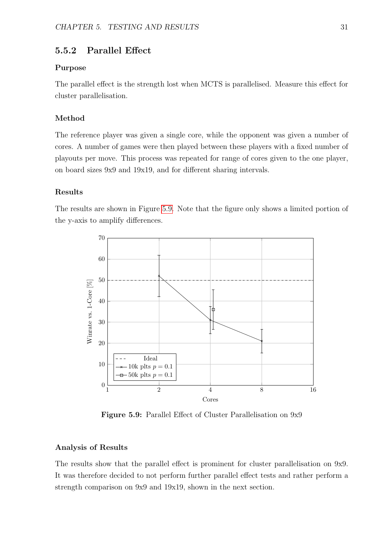#### <span id="page-43-0"></span>5.5.2 Parallel Effect

#### Purpose

The parallel effect is the strength lost when MCTS is parallelised. Measure this effect for cluster parallelisation.

#### Method

The reference player was given a single core, while the opponent was given a number of cores. A number of games were then played between these players with a fixed number of playouts per move. This process was repeated for range of cores given to the one player, on board sizes 9x9 and 19x19, and for different sharing intervals.

#### Results

The results are shown in Figure [5.9.](#page-43-1) Note that the figure only shows a limited portion of the y-axis to amplify differences.

<span id="page-43-1"></span>

Figure 5.9: Parallel Effect of Cluster Parallelisation on 9x9

#### Analysis of Results

The results show that the parallel effect is prominent for cluster parallelisation on 9x9. It was therefore decided to not perform further parallel effect tests and rather perform a strength comparison on 9x9 and 19x19, shown in the next section.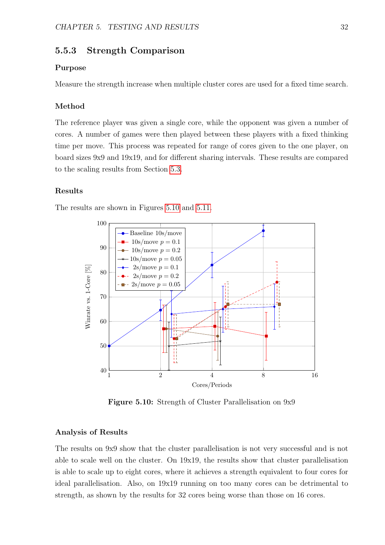#### <span id="page-44-0"></span>5.5.3 Strength Comparison

#### Purpose

Measure the strength increase when multiple cluster cores are used for a fixed time search.

#### Method

The reference player was given a single core, while the opponent was given a number of cores. A number of games were then played between these players with a fixed thinking time per move. This process was repeated for range of cores given to the one player, on board sizes 9x9 and 19x19, and for different sharing intervals. These results are compared to the scaling results from Section [5.3.](#page-35-0)

#### Results

<span id="page-44-1"></span>The results are shown in Figures [5.10](#page-44-1) and [5.11.](#page-45-0)



Figure 5.10: Strength of Cluster Parallelisation on 9x9

#### Analysis of Results

The results on 9x9 show that the cluster parallelisation is not very successful and is not able to scale well on the cluster. On 19x19, the results show that cluster parallelisation is able to scale up to eight cores, where it achieves a strength equivalent to four cores for ideal parallelisation. Also, on 19x19 running on too many cores can be detrimental to strength, as shown by the results for 32 cores being worse than those on 16 cores.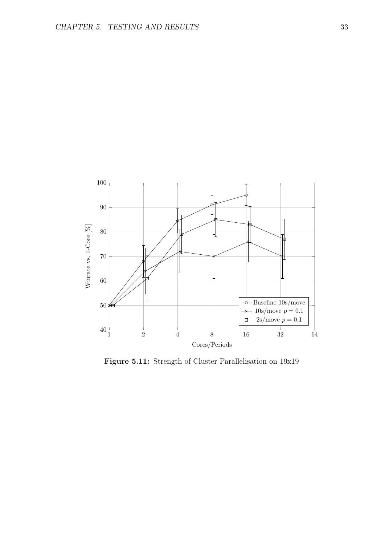<span id="page-45-0"></span>

Figure 5.11: Strength of Cluster Parallelisation on 19x19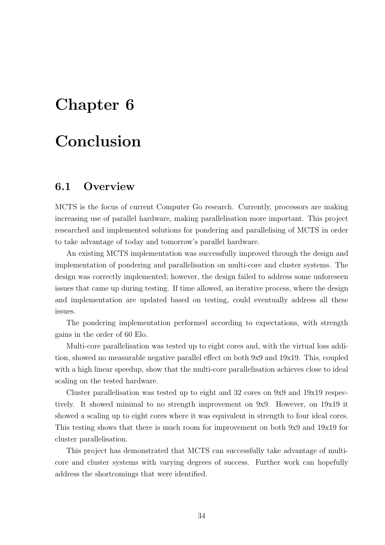## <span id="page-46-0"></span>Chapter 6

## Conclusion

### <span id="page-46-1"></span>6.1 Overview

MCTS is the focus of current Computer Go research. Currently, processors are making increasing use of parallel hardware, making parallelisation more important. This project researched and implemented solutions for pondering and parallelising of MCTS in order to take advantage of today and tomorrow's parallel hardware.

An existing MCTS implementation was successfully improved through the design and implementation of pondering and parallelisation on multi-core and cluster systems. The design was correctly implemented; however, the design failed to address some unforeseen issues that came up during testing. If time allowed, an iterative process, where the design and implementation are updated based on testing, could eventually address all these issues.

The pondering implementation performed according to expectations, with strength gains in the order of 60 Elo.

Multi-core parallelisation was tested up to eight cores and, with the virtual loss addition, showed no measurable negative parallel effect on both 9x9 and 19x19. This, coupled with a high linear speedup, show that the multi-core parallelisation achieves close to ideal scaling on the tested hardware.

Cluster parallelisation was tested up to eight and 32 cores on 9x9 and 19x19 respectively. It showed minimal to no strength improvement on 9x9. However, on 19x19 it showed a scaling up to eight cores where it was equivalent in strength to four ideal cores. This testing shows that there is much room for improvement on both 9x9 and 19x19 for cluster parallelisation.

This project has demonstrated that MCTS can successfully take advantage of multicore and cluster systems with varying degrees of success. Further work can hopefully address the shortcomings that were identified.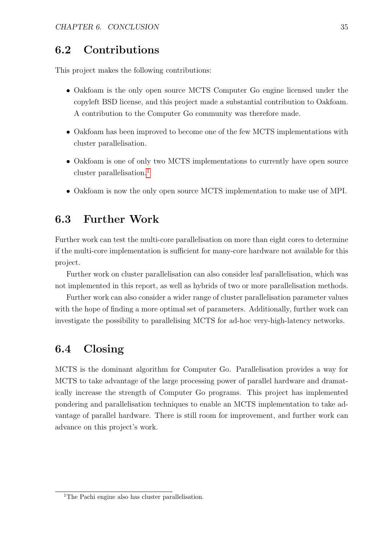### <span id="page-47-0"></span>6.2 Contributions

This project makes the following contributions:

- Oakfoam is the only open source MCTS Computer Go engine licensed under the copyleft BSD license, and this project made a substantial contribution to Oakfoam. A contribution to the Computer Go community was therefore made.
- Oakfoam has been improved to become one of the few MCTS implementations with cluster parallelisation.
- Oakfoam is one of only two MCTS implementations to currently have open source cluster parallelisation.<sup>[1](#page-47-3)</sup>
- Oakfoam is now the only open source MCTS implementation to make use of MPI.

### <span id="page-47-1"></span>6.3 Further Work

Further work can test the multi-core parallelisation on more than eight cores to determine if the multi-core implementation is sufficient for many-core hardware not available for this project.

Further work on cluster parallelisation can also consider leaf parallelisation, which was not implemented in this report, as well as hybrids of two or more parallelisation methods.

Further work can also consider a wider range of cluster parallelisation parameter values with the hope of finding a more optimal set of parameters. Additionally, further work can investigate the possibility to parallelising MCTS for ad-hoc very-high-latency networks.

### <span id="page-47-2"></span>6.4 Closing

MCTS is the dominant algorithm for Computer Go. Parallelisation provides a way for MCTS to take advantage of the large processing power of parallel hardware and dramatically increase the strength of Computer Go programs. This project has implemented pondering and parallelisation techniques to enable an MCTS implementation to take advantage of parallel hardware. There is still room for improvement, and further work can advance on this project's work.

<span id="page-47-3"></span><sup>&</sup>lt;sup>1</sup>The Pachi engine also has cluster parallelisation.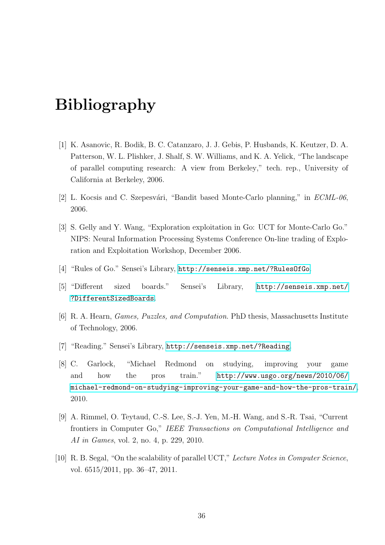## <span id="page-48-0"></span>Bibliography

- <span id="page-48-1"></span>[1] K. Asanovic, R. Bodik, B. C. Catanzaro, J. J. Gebis, P. Husbands, K. Keutzer, D. A. Patterson, W. L. Plishker, J. Shalf, S. W. Williams, and K. A. Yelick, "The landscape of parallel computing research: A view from Berkeley," tech. rep., University of California at Berkeley, 2006.
- <span id="page-48-2"></span>[2] L. Kocsis and C. Szepesvári, "Bandit based Monte-Carlo planning," in  $ECML-06$ , 2006.
- <span id="page-48-3"></span>[3] S. Gelly and Y. Wang, "Exploration exploitation in Go: UCT for Monte-Carlo Go." NIPS: Neural Information Processing Systems Conference On-line trading of Exploration and Exploitation Workshop, December 2006.
- <span id="page-48-4"></span>[4] "Rules of Go." Sensei's Library, <http://senseis.xmp.net/?RulesOfGo>.
- <span id="page-48-5"></span>[5] "Different sized boards." Sensei's Library, [http://senseis.xmp.net/](http://senseis.xmp.net/?DifferentSizedBoards) [?DifferentSizedBoards](http://senseis.xmp.net/?DifferentSizedBoards).
- <span id="page-48-6"></span>[6] R. A. Hearn, Games, Puzzles, and Computation. PhD thesis, Massachusetts Institute of Technology, 2006.
- <span id="page-48-7"></span>[7] "Reading." Sensei's Library, <http://senseis.xmp.net/?Reading>.
- <span id="page-48-8"></span>[8] C. Garlock, "Michael Redmond on studying, improving your game and how the pros train." [http://www.usgo.org/news/2010/06/](http://www.usgo.org/news/2010/06/michael-redmond-on-studying-improving-your-game-and-how-the-pros-train/) [michael-redmond-on-studying-improving-your-game-and-how-the-pros-train/](http://www.usgo.org/news/2010/06/michael-redmond-on-studying-improving-your-game-and-how-the-pros-train/), 2010.
- <span id="page-48-9"></span>[9] A. Rimmel, O. Teytaud, C.-S. Lee, S.-J. Yen, M.-H. Wang, and S.-R. Tsai, "Current frontiers in Computer Go," IEEE Transactions on Computational Intelligence and AI in Games, vol. 2, no. 4, p. 229, 2010.
- <span id="page-48-10"></span>[10] R. B. Segal, "On the scalability of parallel UCT," Lecture Notes in Computer Science, vol. 6515/2011, pp. 36–47, 2011.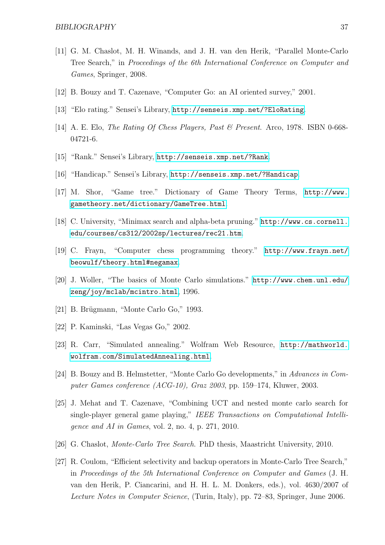- <span id="page-49-0"></span>[11] G. M. Chaslot, M. H. Winands, and J. H. van den Herik, "Parallel Monte-Carlo Tree Search," in Proceedings of the 6th International Conference on Computer and Games, Springer, 2008.
- <span id="page-49-1"></span>[12] B. Bouzy and T. Cazenave, "Computer Go: an AI oriented survey," 2001.
- <span id="page-49-2"></span>[13] "Elo rating." Sensei's Library, <http://senseis.xmp.net/?EloRating>.
- <span id="page-49-3"></span>[14] A. E. Elo, *The Rating Of Chess Players, Past & Present.* Arco, 1978. ISBN 0-668-04721-6.
- <span id="page-49-4"></span>[15] "Rank." Sensei's Library, <http://senseis.xmp.net/?Rank>.
- <span id="page-49-5"></span>[16] "Handicap." Sensei's Library, <http://senseis.xmp.net/?Handicap>.
- <span id="page-49-6"></span>[17] M. Shor, "Game tree." Dictionary of Game Theory Terms, [http://www.](http://www.gametheory.net/dictionary/GameTree.html) [gametheory.net/dictionary/GameTree.html](http://www.gametheory.net/dictionary/GameTree.html).
- <span id="page-49-7"></span>[18] C. University, "Minimax search and alpha-beta pruning." [http://www.cs.cornell.](http://www.cs.cornell.edu/courses/cs312/2002sp/lectures/rec21.htm) [edu/courses/cs312/2002sp/lectures/rec21.htm](http://www.cs.cornell.edu/courses/cs312/2002sp/lectures/rec21.htm).
- <span id="page-49-8"></span>[19] C. Frayn, "Computer chess programming theory." [http://www.frayn.net/](http://www.frayn.net/beowulf/theory.html#negamax) [beowulf/theory.html#negamax](http://www.frayn.net/beowulf/theory.html#negamax).
- <span id="page-49-9"></span>[20] J. Woller, "The basics of Monte Carlo simulations." [http://www.chem.unl.edu/](http://www.chem.unl.edu/zeng/joy/mclab/mcintro.html) [zeng/joy/mclab/mcintro.html](http://www.chem.unl.edu/zeng/joy/mclab/mcintro.html), 1996.
- <span id="page-49-10"></span> $[21]$  B. Brügmann, "Monte Carlo Go," 1993.
- <span id="page-49-11"></span>[22] P. Kaminski, "Las Vegas Go," 2002.
- <span id="page-49-12"></span>[23] R. Carr, "Simulated annealing." Wolfram Web Resource, [http://mathworld.](http://mathworld.wolfram.com/SimulatedAnnealing.html) [wolfram.com/SimulatedAnnealing.html](http://mathworld.wolfram.com/SimulatedAnnealing.html).
- <span id="page-49-13"></span>[24] B. Bouzy and B. Helmstetter, "Monte Carlo Go developments," in Advances in Computer Games conference (ACG-10), Graz 2003, pp. 159–174, Kluwer, 2003.
- <span id="page-49-14"></span>[25] J. Mehat and T. Cazenave, "Combining UCT and nested monte carlo search for single-player general game playing," IEEE Transactions on Computational Intelligence and AI in Games, vol. 2, no. 4, p. 271, 2010.
- <span id="page-49-15"></span>[26] G. Chaslot, *Monte-Carlo Tree Search*. PhD thesis, Maastricht University, 2010.
- <span id="page-49-16"></span>[27] R. Coulom, "Efficient selectivity and backup operators in Monte-Carlo Tree Search," in Proceedings of the 5th International Conference on Computer and Games (J. H. van den Herik, P. Ciancarini, and H. H. L. M. Donkers, eds.), vol. 4630/2007 of Lecture Notes in Computer Science, (Turin, Italy), pp. 72–83, Springer, June 2006.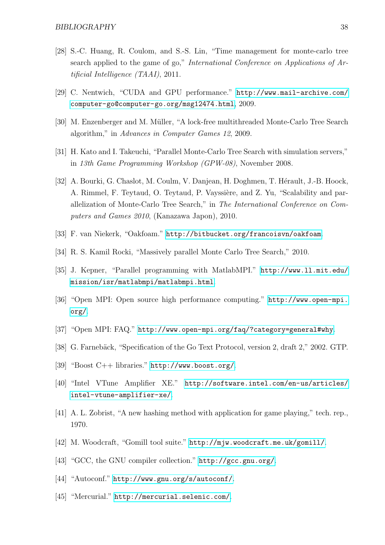- <span id="page-50-0"></span>[28] S.-C. Huang, R. Coulom, and S.-S. Lin, "Time management for monte-carlo tree search applied to the game of go," International Conference on Applications of Artificial Intelligence (TAAI), 2011.
- <span id="page-50-1"></span>[29] C. Nentwich, "CUDA and GPU performance." [http://www.mail-archive.com/](http://www.mail-archive.com/computer-go@computer-go.org/msg12474.html) [computer-go@computer-go.org/msg12474.html](http://www.mail-archive.com/computer-go@computer-go.org/msg12474.html), 2009.
- <span id="page-50-2"></span>[30] M. Enzenberger and M. Müller, "A lock-free multithreaded Monte-Carlo Tree Search algorithm," in Advances in Computer Games 12, 2009.
- <span id="page-50-3"></span>[31] H. Kato and I. Takeuchi, "Parallel Monte-Carlo Tree Search with simulation servers," in 13th Game Programming Workshop (GPW-08), November 2008.
- <span id="page-50-4"></span>[32] A. Bourki, G. Chaslot, M. Coulm, V. Danjean, H. Doghmen, T. Hérault, J.-B. Hoock, A. Rimmel, F. Teytaud, O. Teytaud, P. Vayssière, and Z. Yu, "Scalability and parallelization of Monte-Carlo Tree Search," in The International Conference on Computers and Games 2010, (Kanazawa Japon), 2010.
- <span id="page-50-5"></span>[33] F. van Niekerk, "Oakfoam." <http://bitbucket.org/francoisvn/oakfoam>.
- <span id="page-50-6"></span>[34] R. S. Kamil Rocki, "Massively parallel Monte Carlo Tree Search," 2010.
- <span id="page-50-7"></span>[35] J. Kepner, "Parallel programming with MatlabMPI." [http://www.ll.mit.edu/](http://www.ll.mit.edu/mission/isr/matlabmpi/matlabmpi.html) [mission/isr/matlabmpi/matlabmpi.html](http://www.ll.mit.edu/mission/isr/matlabmpi/matlabmpi.html).
- <span id="page-50-8"></span>[36] "Open MPI: Open source high performance computing." [http://www.open-mpi.](http://www.open-mpi.org/) [org/](http://www.open-mpi.org/).
- <span id="page-50-9"></span>[37] "Open MPI: FAQ." <http://www.open-mpi.org/faq/?category=general#why>.
- <span id="page-50-10"></span>[38] G. Farnebäck, "Specification of the Go Text Protocol, version 2, draft 2," 2002. GTP.
- <span id="page-50-11"></span>[39] "Boost C++ libraries." <http://www.boost.org/>.
- <span id="page-50-12"></span>[40] "Intel VTune Amplifier XE." [http://software.intel.com/en-us/articles/](http://software.intel.com/en-us/articles/intel-vtune-amplifier-xe/) [intel-vtune-amplifier-xe/](http://software.intel.com/en-us/articles/intel-vtune-amplifier-xe/).
- <span id="page-50-13"></span>[41] A. L. Zobrist, "A new hashing method with application for game playing," tech. rep., 1970.
- <span id="page-50-14"></span>[42] M. Woodcraft, "Gomill tool suite." <http://mjw.woodcraft.me.uk/gomill/>.
- <span id="page-50-15"></span>[43] "GCC, the GNU compiler collection." <http://gcc.gnu.org/>.
- <span id="page-50-16"></span>[44] "Autoconf." <http://www.gnu.org/s/autoconf/>.
- <span id="page-50-17"></span>[45] "Mercurial." <http://mercurial.selenic.com/>.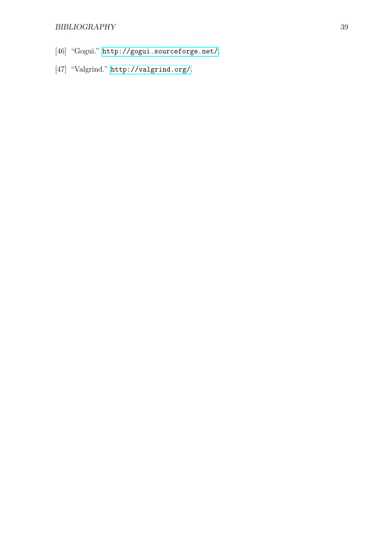### BIBLIOGRAPHY 39

- <span id="page-51-0"></span>[46] "Gogui." <http://gogui.sourceforge.net/>.
- <span id="page-51-1"></span>[47] "Valgrind." <http://valgrind.org/>.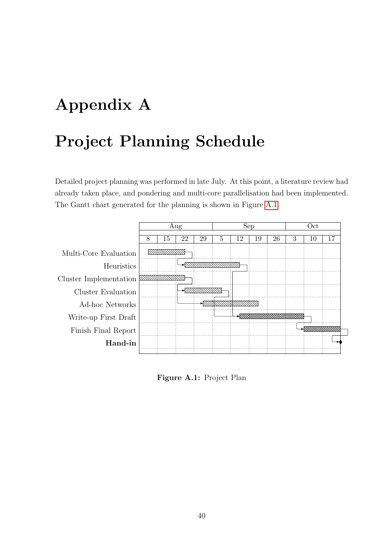# <span id="page-52-0"></span>Appendix A

## Project Planning Schedule

Detailed project planning was performed in late July. At this point, a literature review had already taken place, and pondering and multi-core parallelisation had been implemented. The Gantt chart generated for the planning is shown in Figure [A.1.](#page-52-1)

<span id="page-52-1"></span>

Figure A.1: Project Plan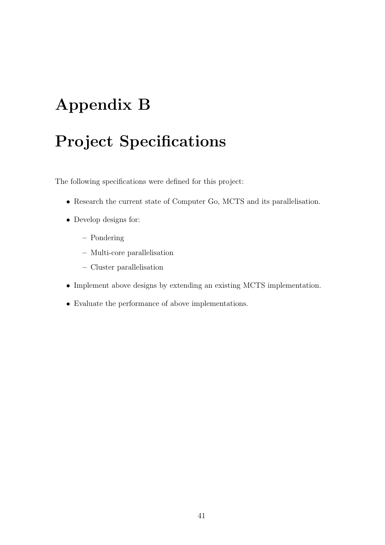## <span id="page-53-0"></span>Appendix B

## Project Specifications

The following specifications were defined for this project:

- Research the current state of Computer Go, MCTS and its parallelisation.
- Develop designs for:
	- Pondering
	- Multi-core parallelisation
	- Cluster parallelisation
- Implement above designs by extending an existing MCTS implementation.
- Evaluate the performance of above implementations.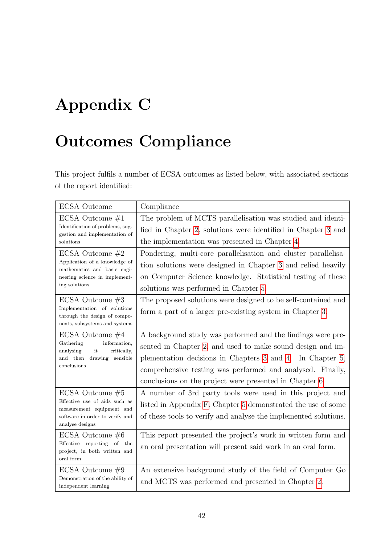## <span id="page-54-0"></span>Appendix C

## Outcomes Compliance

This project fulfils a number of ECSA outcomes as listed below, with associated sections of the report identified:

| <b>ECSA</b> Outcome                                                     | Compliance                                                      |  |  |  |
|-------------------------------------------------------------------------|-----------------------------------------------------------------|--|--|--|
| ECSA Outcome $#1$                                                       | The problem of MCTS parallelisation was studied and identi-     |  |  |  |
| Identification of problems, sug-<br>gestion and implementation of       | fied in Chapter 2, solutions were identified in Chapter 3 and   |  |  |  |
| solutions                                                               | the implementation was presented in Chapter 4.                  |  |  |  |
| ECSA Outcome $#2$                                                       | Pondering, multi-core parallelisation and cluster parallelisa-  |  |  |  |
| Application of a knowledge of<br>mathematics and basic engi-            | tion solutions were designed in Chapter 3 and relied heavily    |  |  |  |
| neering science in implement-                                           | on Computer Science knowledge. Statistical testing of these     |  |  |  |
| ing solutions                                                           | solutions was performed in Chapter 5.                           |  |  |  |
| ECSA Outcome $#3$                                                       | The proposed solutions were designed to be self-contained and   |  |  |  |
| Implementation of solutions<br>through the design of compo-             | form a part of a larger pre-existing system in Chapter 3.       |  |  |  |
| nents, subsystems and systems                                           |                                                                 |  |  |  |
| ECSA Outcome $#4$                                                       | A background study was performed and the findings were pre-     |  |  |  |
| information,<br>Gathering<br>it<br>analysing<br>critically,             | sented in Chapter 2, and used to make sound design and im-      |  |  |  |
| and then<br>drawing sensible                                            | plementation decisions in Chapters 3 and 4. In Chapter 5,       |  |  |  |
| conclusions                                                             | comprehensive testing was performed and analysed. Finally,      |  |  |  |
|                                                                         | conclusions on the project were presented in Chapter 6.         |  |  |  |
| ECSA Outcome $#5$                                                       | A number of 3rd party tools were used in this project and       |  |  |  |
| Effective use of aids such as<br>measurement equipment and              | listed in Appendix F. Chapter 5 demonstrated the use of some    |  |  |  |
| software in order to verify and<br>analyse designs                      | of these tools to verify and analyse the implemented solutions. |  |  |  |
| ECSA Outcome $\#6$                                                      | This report presented the project's work in written form and    |  |  |  |
| Effective reporting of the<br>project, in both written and<br>oral form | an oral presentation will present said work in an oral form.    |  |  |  |
| ECSA Outcome $\#9$                                                      | An extensive background study of the field of Computer Go       |  |  |  |
| Demonstration of the ability of<br>independent learning                 | and MCTS was performed and presented in Chapter 2.              |  |  |  |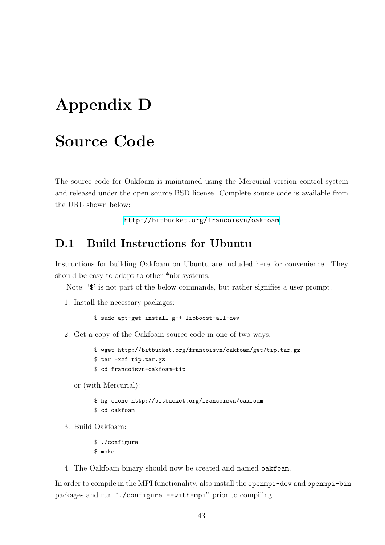## <span id="page-55-0"></span>Appendix D

## Source Code

The source code for Oakfoam is maintained using the Mercurial version control system and released under the open source BSD license. Complete source code is available from the URL shown below:

<http://bitbucket.org/francoisvn/oakfoam>

### <span id="page-55-1"></span>D.1 Build Instructions for Ubuntu

Instructions for building Oakfoam on Ubuntu are included here for convenience. They should be easy to adapt to other \*nix systems.

Note: ' $\mathbf{\hat{s}}$ ' is not part of the below commands, but rather signifies a user prompt.

1. Install the necessary packages:

\$ sudo apt-get install g++ libboost-all-dev

2. Get a copy of the Oakfoam source code in one of two ways:

\$ wget http://bitbucket.org/francoisvn/oakfoam/get/tip.tar.gz \$ tar -xzf tip.tar.gz \$ cd francoisvn-oakfoam-tip

or (with Mercurial):

\$ hg clone http://bitbucket.org/francoisvn/oakfoam \$ cd oakfoam

3. Build Oakfoam:

\$ ./configure \$ make

4. The Oakfoam binary should now be created and named oakfoam.

In order to compile in the MPI functionality, also install the openmpi-dev and openmpi-bin packages and run "./configure --with-mpi" prior to compiling.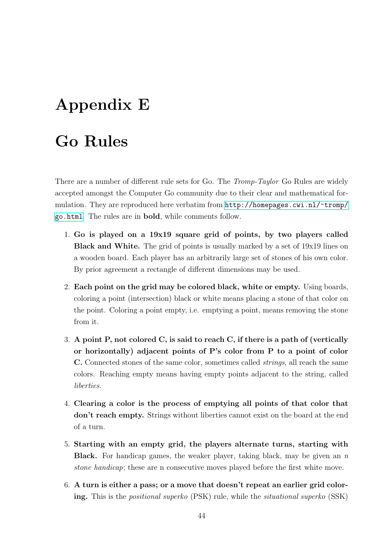## <span id="page-56-0"></span>Appendix E

## Go Rules

There are a number of different rule sets for Go. The *Tromp-Taylor* Go Rules are widely accepted amongst the Computer Go community due to their clear and mathematical formulation. They are reproduced here verbatim from [http://homepages.cwi.nl/~tromp/](http://homepages.cwi.nl/~tromp/go.html) [go.html](http://homepages.cwi.nl/~tromp/go.html). The rules are in bold, while comments follow.

- 1. Go is played on a 19x19 square grid of points, by two players called Black and White. The grid of points is usually marked by a set of 19x19 lines on a wooden board. Each player has an arbitrarily large set of stones of his own color. By prior agreement a rectangle of different dimensions may be used.
- 2. Each point on the grid may be colored black, white or empty. Using boards, coloring a point (intersection) black or white means placing a stone of that color on the point. Coloring a point empty, i.e. emptying a point, means removing the stone from it.
- 3. A point P, not colored C, is said to reach C, if there is a path of (vertically or horizontally) adjacent points of P's color from P to a point of color C. Connected stones of the same color, sometimes called strings, all reach the same colors. Reaching empty means having empty points adjacent to the string, called liberties.
- 4. Clearing a color is the process of emptying all points of that color that don't reach empty. Strings without liberties cannot exist on the board at the end of a turn.
- 5. Starting with an empty grid, the players alternate turns, starting with **Black.** For handicap games, the weaker player, taking black, may be given an  $n$ stone handicap; these are n consecutive moves played before the first white move.
- 6. A turn is either a pass; or a move that doesn't repeat an earlier grid coloring. This is the positional superko (PSK) rule, while the situational superko (SSK)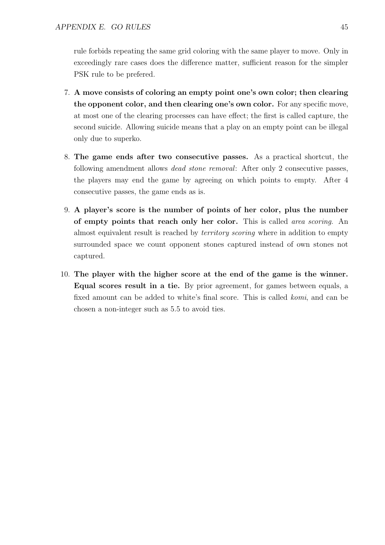rule forbids repeating the same grid coloring with the same player to move. Only in exceedingly rare cases does the difference matter, sufficient reason for the simpler PSK rule to be prefered.

- 7. A move consists of coloring an empty point one's own color; then clearing the opponent color, and then clearing one's own color. For any specific move, at most one of the clearing processes can have effect; the first is called capture, the second suicide. Allowing suicide means that a play on an empty point can be illegal only due to superko.
- 8. The game ends after two consecutive passes. As a practical shortcut, the following amendment allows dead stone removal: After only 2 consecutive passes, the players may end the game by agreeing on which points to empty. After 4 consecutive passes, the game ends as is.
- 9. A player's score is the number of points of her color, plus the number of empty points that reach only her color. This is called area scoring. An almost equivalent result is reached by territory scoring where in addition to empty surrounded space we count opponent stones captured instead of own stones not captured.
- 10. The player with the higher score at the end of the game is the winner. Equal scores result in a tie. By prior agreement, for games between equals, a fixed amount can be added to white's final score. This is called komi, and can be chosen a non-integer such as 5.5 to avoid ties.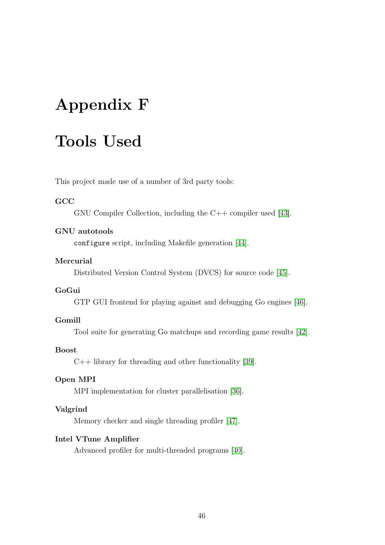## <span id="page-58-0"></span>Appendix F

## Tools Used

This project made use of a number of 3rd party tools:

#### **GCC**

GNU Compiler Collection, including the C++ compiler used [\[43\]](#page-50-15).

#### GNU autotools

configure script, including Makefile generation [\[44\]](#page-50-16).

#### Mercurial

Distributed Version Control System (DVCS) for source code [\[45\]](#page-50-17).

#### GoGui

GTP GUI frontend for playing against and debugging Go engines [\[46\]](#page-51-0).

#### Gomill

Tool suite for generating Go matchups and recording game results [\[42\]](#page-50-14).

#### Boost

 $C++$  library for threading and other functionality [\[39\]](#page-50-11).

#### Open MPI

MPI implementation for cluster parallelisation [\[36\]](#page-50-8).

#### Valgrind

Memory checker and single threading profiler [\[47\]](#page-51-1).

#### Intel VTune Amplifier

Advanced profiler for multi-threaded programs [\[40\]](#page-50-12).